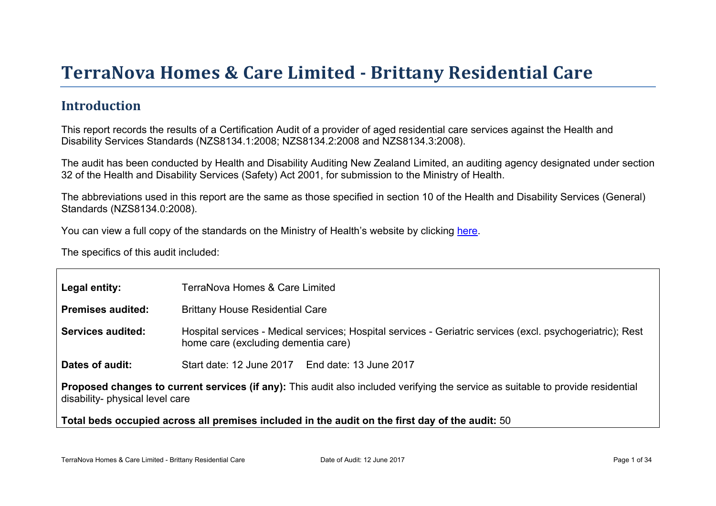# TerraNova Homes & Care Limited - Brittany Residential Care

#### **Introduction**

This report records the results of a Certification Audit of a provider of aged residential care services against the Health and Disability Services Standards (NZS8134.1:2008; NZS8134.2:2008 and NZS8134.3:2008).

The audit has been conducted by Health and Disability Auditing New Zealand Limited, an auditing agency designated under section 32 of the Health and Disability Services (Safety) Act 2001, for submission to the Ministry of Health.

The abbreviations used in this report are the same as those specified in section 10 of the Health and Disability Services (General) Standards (NZS8134.0:2008).

You can view a full copy of the standards on the Ministry of Health's website by clicking [here.](http://www.health.govt.nz/our-work/regulation-health-and-disability-system/certification-health-care-services/health-and-disability-services-standards)

The specifics of this audit included:

| Legal entity:                                                                                                                                                          | TerraNova Homes & Care Limited                                                                                                                    |  |  |  |
|------------------------------------------------------------------------------------------------------------------------------------------------------------------------|---------------------------------------------------------------------------------------------------------------------------------------------------|--|--|--|
| Premises audited:                                                                                                                                                      | <b>Brittany House Residential Care</b>                                                                                                            |  |  |  |
| Services audited:                                                                                                                                                      | Hospital services - Medical services; Hospital services - Geriatric services (excl. psychogeriatric); Rest<br>home care (excluding dementia care) |  |  |  |
| Dates of audit:                                                                                                                                                        | Start date: 12 June 2017 End date: 13 June 2017                                                                                                   |  |  |  |
| services (if any): This audit also included verifying the service as suitable to provide residential<br>Proposed changes to current<br>disability- physical level care |                                                                                                                                                   |  |  |  |
|                                                                                                                                                                        | Total beds occupied across all premises included<br>in the audit on the first day of the audit: 50                                                |  |  |  |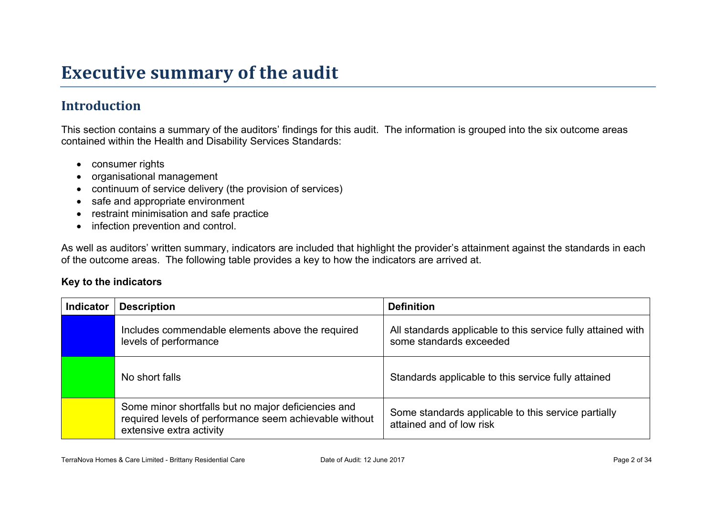## **Executive summary of the audit**

### **Introduction**

This section contains a summary of the auditors' findings for this audit. The information is grouped into the six outcome areas contained within the Health and Disability Services Standards:

- consumer rights
- organisational management
- continuum of service delivery (the provision of services)
- safe and appropriate environment
- restraint minimisation and safe practice
- infection prevention and control.

As well as auditors' written summary, indicators are included that highlight the provider's attainment against the standards in each of the outcome areas. The following table provides a key to how the indicators are arrived at.

#### **Key to the indicators**

| <b>Indicator</b> | <b>Description</b>                                                                                                                        | <b>Definition</b>                                                                       |
|------------------|-------------------------------------------------------------------------------------------------------------------------------------------|-----------------------------------------------------------------------------------------|
|                  | Includes commendable elements above the required<br>levels of performance                                                                 | All standards applicable to this service fully attained with<br>some standards exceeded |
|                  | No short falls                                                                                                                            | Standards applicable to this service fully attained                                     |
|                  | Some minor shortfalls but no major deficiencies and<br>required levels of performance seem achievable without<br>extensive extra activity | Some standards applicable to this service partially<br>attained and of low risk         |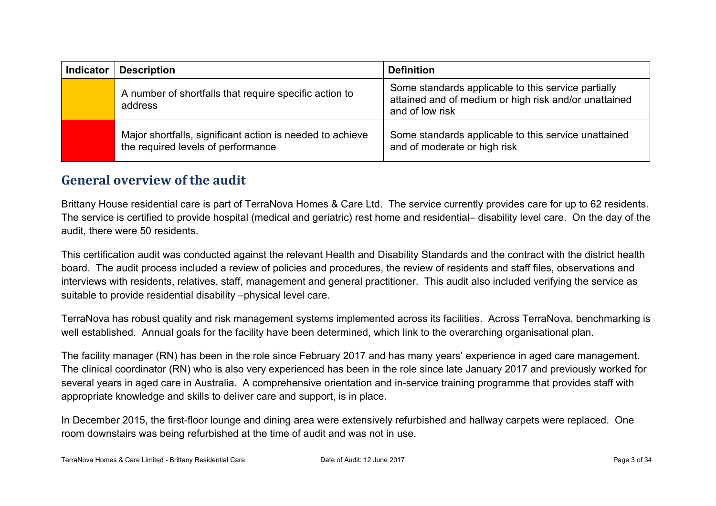| <b>Indicator</b> | <b>Description</b>                                                                              | <b>Definition</b>                                                                                                               |
|------------------|-------------------------------------------------------------------------------------------------|---------------------------------------------------------------------------------------------------------------------------------|
|                  | A number of shortfalls that require specific action to<br>address                               | Some standards applicable to this service partially<br>attained and of medium or high risk and/or unattained<br>and of low risk |
|                  | Major shortfalls, significant action is needed to achieve<br>the required levels of performance | Some standards applicable to this service unattained<br>and of moderate or high risk                                            |

#### **General overview of the audit**

Brittany House residential care is part of TerraNova Homes & Care Ltd. The service currently provides care for up to 62 residents. The service is certified to provide hospital (medical and geriatric) rest home and residential– disability level care. On the day of the audit, there were 50 residents.

This certification audit was conducted against the relevant Health and Disability Standards and the contract with the district health board. The audit process included a review of policies and procedures, the review of residents and staff files, observations and interviews with residents, relatives, staff, management and general practitioner. This audit also included verifying the service as suitable to provide residential disability –physical level care.

TerraNova has robust quality and risk management systems implemented across its facilities. Across TerraNova, benchmarking is well established. Annual goals for the facility have been determined, which link to the overarching organisational plan.

The facility manager (RN) has been in the role since February 2017 and has many years' experience in aged care management. The clinical coordinator (RN) who is also very experienced has been in the role since late January 2017 and previously worked for several years in aged care in Australia. A comprehensive orientation and in-service training programme that provides staff with appropriate knowledge and skills to deliver care and support, is in place.

In December 2015, the first-floor lounge and dining area were extensively refurbished and hallway carpets were replaced. One room downstairs was being refurbished at the time of audit and was not in use.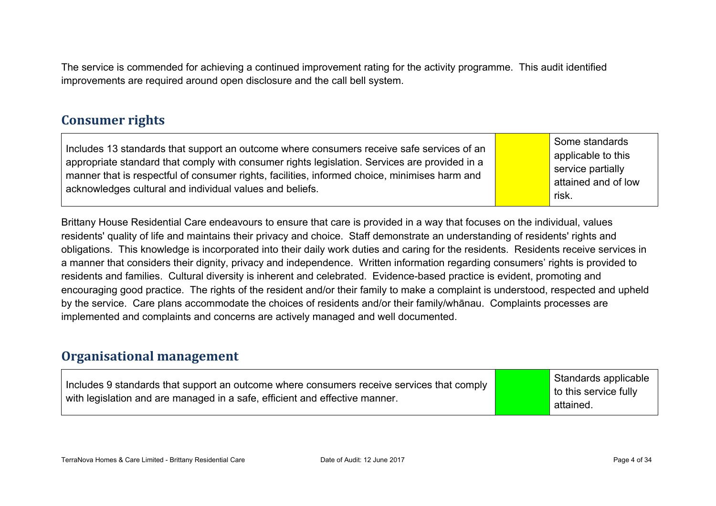The service is commended for achieving a continued improvement rating for the activity programme. This audit identified improvements are required around open disclosure and the call bell system.

#### **Consumer rights**

Includes 13 standards that support an outcome where consumers receive safe services of an appropriate standard that comply with consumer rights legislation. Services are provided in a manner that is respectful of consumer rights, facilities, informed choice, minimises harm and acknowledges cultural and individual values and beliefs.

Some standards applicable to this service partially attained and of low risk.

Brittany House Residential Care endeavours to ensure that care is provided in a way that focuses on the individual, values residents' quality of life and maintains their privacy and choice. Staff demonstrate an understanding of residents' rights and obligations. This knowledge is incorporated into their daily work duties and caring for the residents. Residents receive services in a manner that considers their dignity, privacy and independence. Written information regarding consumers' rights is provided to residents and families. Cultural diversity is inherent and celebrated. Evidence-based practice is evident, promoting and encouraging good practice. The rights of the resident and/or their family to make a complaint is understood, respected and upheld by the service. Care plans accommodate the choices of residents and/or their family/whānau. Complaints processes are implemented and complaints and concerns are actively managed and well documented.

#### **Organisational management**

| Includes 9 standards that support an outcome where consumers receive services that comply<br>with legislation and are managed in a safe, efficient and effective manner. | Standards applicable<br>to this service fully<br>attained. |
|--------------------------------------------------------------------------------------------------------------------------------------------------------------------------|------------------------------------------------------------|
|--------------------------------------------------------------------------------------------------------------------------------------------------------------------------|------------------------------------------------------------|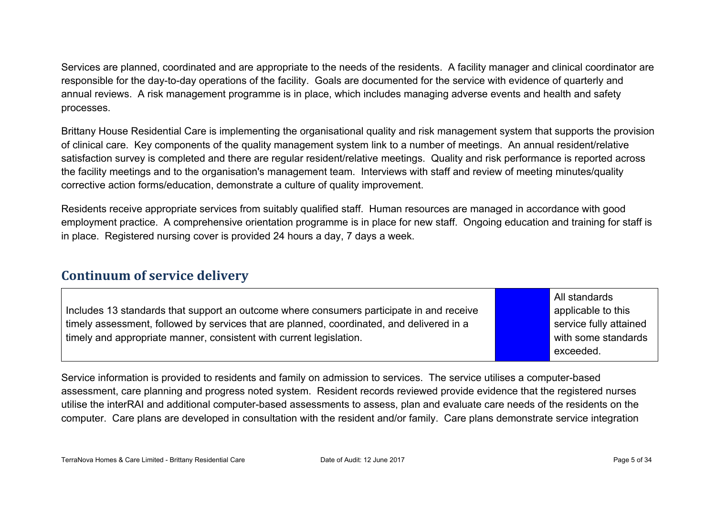Services are planned, coordinated and are appropriate to the needs of the residents. A facility manager and clinical coordinator are responsible for the day-to-day operations of the facility. Goals are documented for the service with evidence of quarterly and annual reviews. A risk management programme is in place, which includes managing adverse events and health and safety processes.

Brittany House Residential Care is implementing the organisational quality and risk management system that supports the provision of clinical care. Key components of the quality management system link to a number of meetings. An annual resident/relative satisfaction survey is completed and there are regular resident/relative meetings. Quality and risk performance is reported across the facility meetings and to the organisation's management team. Interviews with staff and review of meeting minutes/quality corrective action forms/education, demonstrate a culture of quality improvement.

Residents receive appropriate services from suitably qualified staff. Human resources are managed in accordance with good employment practice. A comprehensive orientation programme is in place for new staff. Ongoing education and training for staff is in place. Registered nursing cover is provided 24 hours a day, 7 days a week.

#### **Continuum of service delivery**

Includes 13 standards that support an outcome where consumers participate in and receive timely assessment, followed by services that are planned, coordinated, and delivered in a timely and appropriate manner, consistent with current legislation.

All standards applicable to this service fully attained with some standards exceeded.

Service information is provided to residents and family on admission to services. The service utilises a computer-based assessment, care planning and progress noted system. Resident records reviewed provide evidence that the registered nurses utilise the interRAI and additional computer-based assessments to assess, plan and evaluate care needs of the residents on the computer. Care plans are developed in consultation with the resident and/or family. Care plans demonstrate service integration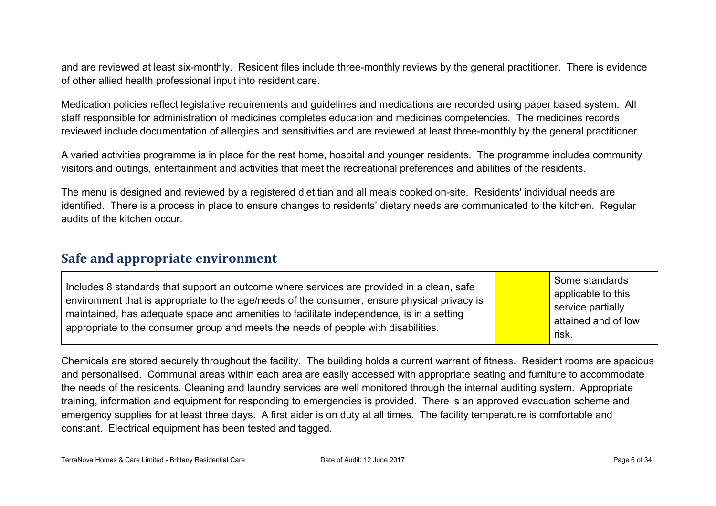and are reviewed at least six-monthly. Resident files include three-monthly reviews by the general practitioner. There is evidence of other allied health professional input into resident care.

Medication policies reflect legislative requirements and guidelines and medications are recorded using paper based system. All staff responsible for administration of medicines completes education and medicines competencies. The medicines records reviewed include documentation of allergies and sensitivities and are reviewed at least three-monthly by the general practitioner.

A varied activities programme is in place for the rest home, hospital and younger residents. The programme includes community visitors and outings, entertainment and activities that meet the recreational preferences and abilities of the residents.

The menu is designed and reviewed by a registered dietitian and all meals cooked on-site. Residents' individual needs are identified. There is a process in place to ensure changes to residents' dietary needs are communicated to the kitchen. Regular audits of the kitchen occur.

#### **Safe and appropriate environment**

| Includes 8 standards that support an outcome where services are provided in a clean, safe<br>environment that is appropriate to the age/needs of the consumer, ensure physical privacy is<br>maintained, has adequate space and amenities to facilitate independence, is in a setting<br>appropriate to the consumer group and meets the needs of people with disabilities. | Some standards<br>applicable to this<br>service partially<br>attained and of low<br>risk. |
|-----------------------------------------------------------------------------------------------------------------------------------------------------------------------------------------------------------------------------------------------------------------------------------------------------------------------------------------------------------------------------|-------------------------------------------------------------------------------------------|
|-----------------------------------------------------------------------------------------------------------------------------------------------------------------------------------------------------------------------------------------------------------------------------------------------------------------------------------------------------------------------------|-------------------------------------------------------------------------------------------|

Chemicals are stored securely throughout the facility. The building holds a current warrant of fitness. Resident rooms are spacious and personalised. Communal areas within each area are easily accessed with appropriate seating and furniture to accommodate the needs of the residents. Cleaning and laundry services are well monitored through the internal auditing system. Appropriate training, information and equipment for responding to emergencies is provided. There is an approved evacuation scheme and emergency supplies for at least three days. A first aider is on duty at all times. The facility temperature is comfortable and constant. Electrical equipment has been tested and tagged.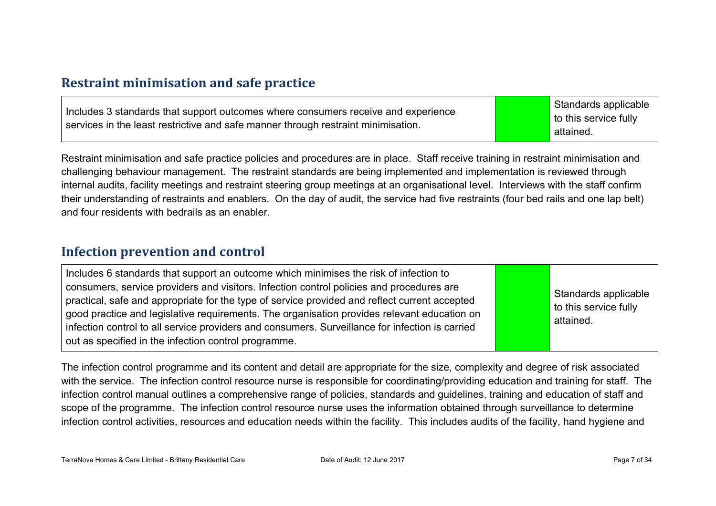#### **Restraint minimisation and safe practice**

| Includes 3 standards that support outcomes where consumers receive and experience<br>services in the least restrictive and safe manner through restraint minimisation. | Standards applicable<br><b>to this service fully</b><br>attained. |
|------------------------------------------------------------------------------------------------------------------------------------------------------------------------|-------------------------------------------------------------------|
|------------------------------------------------------------------------------------------------------------------------------------------------------------------------|-------------------------------------------------------------------|

Restraint minimisation and safe practice policies and procedures are in place. Staff receive training in restraint minimisation and challenging behaviour management. The restraint standards are being implemented and implementation is reviewed through internal audits, facility meetings and restraint steering group meetings at an organisational level. Interviews with the staff confirm their understanding of restraints and enablers. On the day of audit, the service had five restraints (four bed rails and one lap belt) and four residents with bedrails as an enabler.

#### **Infection prevention and control**

| Includes 6 standards that support an outcome which minimises the risk of infection to<br>consumers, service providers and visitors. Infection control policies and procedures are<br>practical, safe and appropriate for the type of service provided and reflect current accepted<br>good practice and legislative requirements. The organisation provides relevant education on<br>infection control to all service providers and consumers. Surveillance for infection is carried<br>out as specified in the infection control programme. | Standards applicable<br>to this service fully<br>attained. |
|----------------------------------------------------------------------------------------------------------------------------------------------------------------------------------------------------------------------------------------------------------------------------------------------------------------------------------------------------------------------------------------------------------------------------------------------------------------------------------------------------------------------------------------------|------------------------------------------------------------|
|----------------------------------------------------------------------------------------------------------------------------------------------------------------------------------------------------------------------------------------------------------------------------------------------------------------------------------------------------------------------------------------------------------------------------------------------------------------------------------------------------------------------------------------------|------------------------------------------------------------|

The infection control programme and its content and detail are appropriate for the size, complexity and degree of risk associated with the service. The infection control resource nurse is responsible for coordinating/providing education and training for staff. The infection control manual outlines a comprehensive range of policies, standards and guidelines, training and education of staff and scope of the programme. The infection control resource nurse uses the information obtained through surveillance to determine infection control activities, resources and education needs within the facility. This includes audits of the facility, hand hygiene and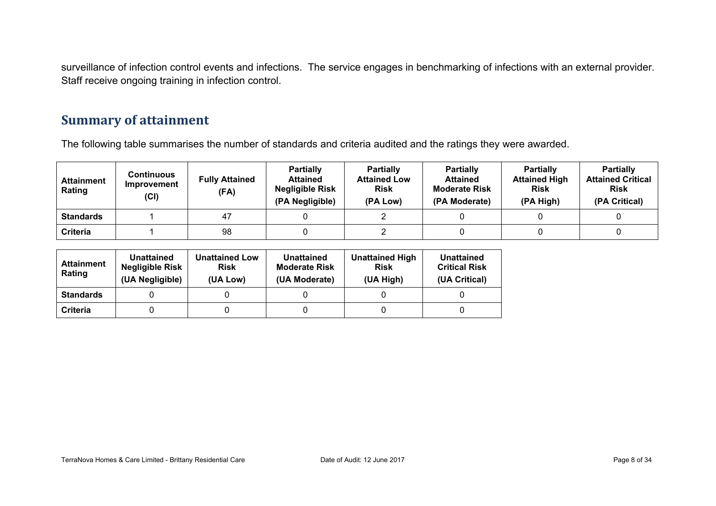surveillance of infection control events and infections. The service engages in benchmarking of infections with an external provider. Staff receive ongoing training in infection control.

#### **Summary of attainment**

The following table summarises the number of standards and criteria audited and the ratings they were awarded.

| <b>Attainment</b><br>Rating | <b>Continuous</b><br>Improvement<br>(Cl) | <b>Fully Attained</b><br>(FA) | <b>Partially</b><br><b>Attained</b><br><b>Negligible Risk</b><br>(PA Negligible) | <b>Partially</b><br><b>Attained Low</b><br><b>Risk</b><br>(PA Low) | <b>Partially</b><br><b>Attained</b><br><b>Moderate Risk</b><br>(PA Moderate) | <b>Partially</b><br><b>Attained High</b><br><b>Risk</b><br>(PA High) | <b>Partially</b><br><b>Attained Critical</b><br><b>Risk</b><br>(PA Critical) |
|-----------------------------|------------------------------------------|-------------------------------|----------------------------------------------------------------------------------|--------------------------------------------------------------------|------------------------------------------------------------------------------|----------------------------------------------------------------------|------------------------------------------------------------------------------|
| <b>Standards</b>            |                                          | 47                            |                                                                                  |                                                                    |                                                                              |                                                                      |                                                                              |
| <b>Criteria</b>             |                                          | 98                            |                                                                                  |                                                                    |                                                                              |                                                                      |                                                                              |

| <b>Attainment</b><br>Rating | Unattained<br><b>Negligible Risk</b><br>(UA Negligible) | <b>Unattained Low</b><br><b>Risk</b><br>(UA Low) | Unattained<br><b>Moderate Risk</b><br>(UA Moderate) | <b>Unattained High</b><br><b>Risk</b><br>(UA High) | Unattained<br><b>Critical Risk</b><br>(UA Critical) |
|-----------------------------|---------------------------------------------------------|--------------------------------------------------|-----------------------------------------------------|----------------------------------------------------|-----------------------------------------------------|
| <b>Standards</b>            |                                                         |                                                  |                                                     |                                                    |                                                     |
| <b>Criteria</b>             |                                                         |                                                  |                                                     |                                                    |                                                     |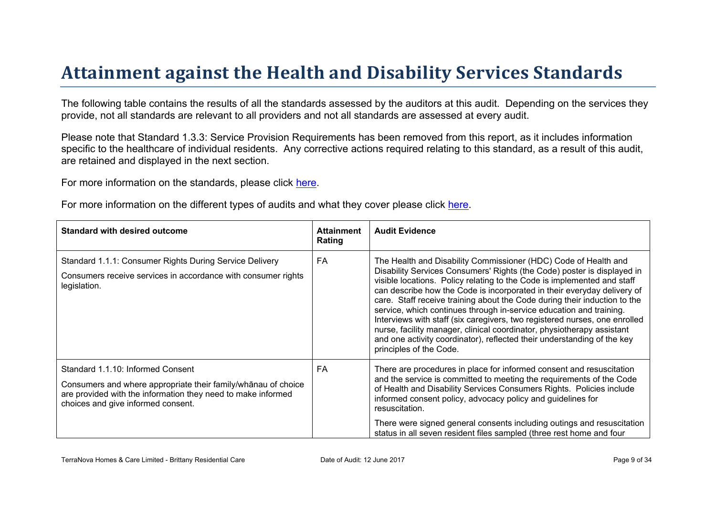# Attainment against the Health and Disability Ser vices Standar ds

The following table contains the results of all the standards assessed by the auditors at this audit. Depending on the services they provide, not all standards are relevant to all providers and not all standards are assessed at every audit.

Please note that Standard 1.3.3: Service Provision Requirements has been removed from this report, as it includes information specific to the healthcare of individual residents. Any corrective actions required relating to this standard, as a result of this audit. are retained and displayed in the next section.

For more information on the standards, please click [here](http://www.health.govt.nz/our-work/regulation-health-and-disability-system/certification-health-care-services/health-and-disability-services-standards).

For more information on the different types of audits and what they cover please click [here.](http://www.health.govt.nz/your-health/services-and-support/health-care-services/services-older-people/rest-home-certification-and-audits)

| Standard with desired outcome                                                                                                                                                                       | Attainment<br>Rating | <b>Audit Evidence</b>                                                                                                                                                                                                                                                                                                                                                                                                                                                                                                                                                                                                                                                                                              |
|-----------------------------------------------------------------------------------------------------------------------------------------------------------------------------------------------------|----------------------|--------------------------------------------------------------------------------------------------------------------------------------------------------------------------------------------------------------------------------------------------------------------------------------------------------------------------------------------------------------------------------------------------------------------------------------------------------------------------------------------------------------------------------------------------------------------------------------------------------------------------------------------------------------------------------------------------------------------|
| Standard 1.1.1: Consumer Rights During Service Delivery<br>Consumers receive services in accordance with consumer rights<br>legislation.                                                            | FA                   | The Health and Disability Commissioner (HDC) Code of Health and<br>Disability Services Consumers' Rights (the Code) poster is displayed in<br>visible locations. Policy relating to the Code is implemented and staff<br>can describe how the Code is incorporated in their everyday delivery of<br>care. Staff receive training about the Code during their induction to the<br>service, which continues through in-service education and training.<br>Interviews with staff (six caregivers, two registered nurses, one enrolled<br>nurse, facility manager, clinical coordinator, physiotherapy assistant<br>and one activity coordinator), reflected their understanding of the key<br>principles of the Code. |
| Standard 1.1.10: Informed Consent<br>Consumers and where appropriate their<br>$>1$ & E choice<br>are provided with the information they need to make informed<br>choices and give informed consent. | <b>FA</b>            | There are procedures in place for informed consent and resuscitation<br>and the service is committed to meeting the requirements of the Code<br>of Health and Disability Services Consumers Rights. Policies include<br>informed consent policy, advocacy policy and guidelines for<br>resuscitation.<br>There were signed general consents including outings and resuscitation<br>status in all seven resident files sampled (three rest home and four                                                                                                                                                                                                                                                            |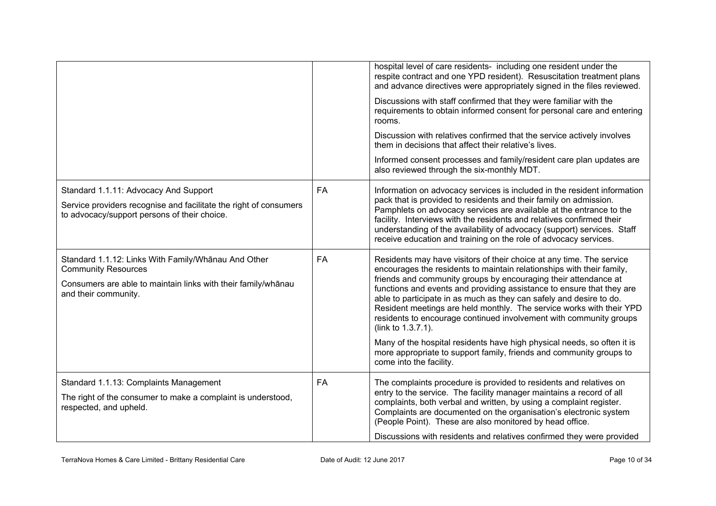|                                                                                                                                                                            |           | hospital level of care residents- including one resident under the<br>respite contract and one YPD resident). Resuscitation treatment plans<br>and advance directives were appropriately signed in the files reviewed.<br>Discussions with staff confirmed that they were familiar with the<br>requirements to obtain informed consent for personal care and entering<br>rooms.<br>Discussion with relatives confirmed that the service actively involves<br>them in decisions that affect their relative's lives.<br>Informed consent processes and family/resident care plan updates are<br>also reviewed through the six-monthly MDT.                                                                          |
|----------------------------------------------------------------------------------------------------------------------------------------------------------------------------|-----------|-------------------------------------------------------------------------------------------------------------------------------------------------------------------------------------------------------------------------------------------------------------------------------------------------------------------------------------------------------------------------------------------------------------------------------------------------------------------------------------------------------------------------------------------------------------------------------------------------------------------------------------------------------------------------------------------------------------------|
| Standard 1.1.11: Advocacy And Support<br>Service providers recognise and facilitate the right of consumers<br>to advocacy/support persons of their choice.                 | <b>FA</b> | Information on advocacy services is included in the resident information<br>pack that is provided to residents and their family on admission.<br>Pamphlets on advocacy services are available at the entrance to the<br>facility. Interviews with the residents and relatives confirmed their<br>understanding of the availability of advocacy (support) services. Staff<br>receive education and training on the role of advocacy services.                                                                                                                                                                                                                                                                      |
| Standard 1.1.12: Links With Family/Whanau And Other<br><b>Community Resources</b><br>Consumers are able to maintain links with their family/whānau<br>and their community. | <b>FA</b> | Residents may have visitors of their choice at any time. The service<br>encourages the residents to maintain relationships with their family,<br>friends and community groups by encouraging their attendance at<br>functions and events and providing assistance to ensure that they are<br>able to participate in as much as they can safely and desire to do.<br>Resident meetings are held monthly. The service works with their YPD<br>residents to encourage continued involvement with community groups<br>(link to 1.3.7.1).<br>Many of the hospital residents have high physical needs, so often it is<br>more appropriate to support family, friends and community groups to<br>come into the facility. |
| Standard 1.1.13: Complaints Management<br>The right of the consumer to make a complaint is understood,<br>respected, and upheld.                                           | <b>FA</b> | The complaints procedure is provided to residents and relatives on<br>entry to the service. The facility manager maintains a record of all<br>complaints, both verbal and written, by using a complaint register.<br>Complaints are documented on the organisation's electronic system<br>(People Point). These are also monitored by head office.<br>Discussions with residents and relatives confirmed they were provided                                                                                                                                                                                                                                                                                       |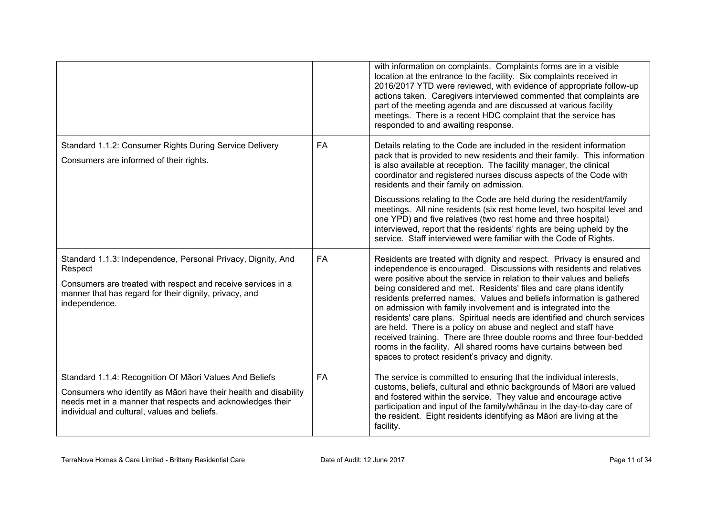|                                                                                                                                                                                                                                           |           | with information on complaints. Complaints forms are in a visible<br>location at the entrance to the facility. Six complaints received in<br>2016/2017 YTD were reviewed, with evidence of appropriate follow-up<br>actions taken. Caregivers interviewed commented that complaints are<br>part of the meeting agenda and are discussed at various facility<br>meetings. There is a recent HDC complaint that the service has<br>responded to and awaiting response.                                                                                                                                                                                                                                                                                                                           |
|-------------------------------------------------------------------------------------------------------------------------------------------------------------------------------------------------------------------------------------------|-----------|------------------------------------------------------------------------------------------------------------------------------------------------------------------------------------------------------------------------------------------------------------------------------------------------------------------------------------------------------------------------------------------------------------------------------------------------------------------------------------------------------------------------------------------------------------------------------------------------------------------------------------------------------------------------------------------------------------------------------------------------------------------------------------------------|
| Standard 1.1.2: Consumer Rights During Service Delivery<br>Consumers are informed of their rights.                                                                                                                                        | <b>FA</b> | Details relating to the Code are included in the resident information<br>pack that is provided to new residents and their family. This information<br>is also available at reception. The facility manager, the clinical<br>coordinator and registered nurses discuss aspects of the Code with<br>residents and their family on admission.                                                                                                                                                                                                                                                                                                                                                                                                                                                     |
|                                                                                                                                                                                                                                           |           | Discussions relating to the Code are held during the resident/family<br>meetings. All nine residents (six rest home level, two hospital level and<br>one YPD) and five relatives (two rest home and three hospital)<br>interviewed, report that the residents' rights are being upheld by the<br>service. Staff interviewed were familiar with the Code of Rights.                                                                                                                                                                                                                                                                                                                                                                                                                             |
| Standard 1.1.3: Independence, Personal Privacy, Dignity, And<br>Respect<br>Consumers are treated with respect and receive services in a<br>manner that has regard for their dignity, privacy, and<br>independence.                        | <b>FA</b> | Residents are treated with dignity and respect. Privacy is ensured and<br>independence is encouraged. Discussions with residents and relatives<br>were positive about the service in relation to their values and beliefs<br>being considered and met. Residents' files and care plans identify<br>residents preferred names. Values and beliefs information is gathered<br>on admission with family involvement and is integrated into the<br>residents' care plans. Spiritual needs are identified and church services<br>are held. There is a policy on abuse and neglect and staff have<br>received training. There are three double rooms and three four-bedded<br>rooms in the facility. All shared rooms have curtains between bed<br>spaces to protect resident's privacy and dignity. |
| Standard 1.1.4: Recognition Of Māori Values And Beliefs<br>Consumers who identify as Māori have their health and disability<br>needs met in a manner that respects and acknowledges their<br>individual and cultural, values and beliefs. | FA        | The service is committed to ensuring that the individual interests,<br>customs, beliefs, cultural and ethnic backgrounds of Māori are valued<br>and fostered within the service. They value and encourage active<br>participation and input of the family/whanau in the day-to-day care of<br>the resident. Eight residents identifying as Māori are living at the<br>facility.                                                                                                                                                                                                                                                                                                                                                                                                                |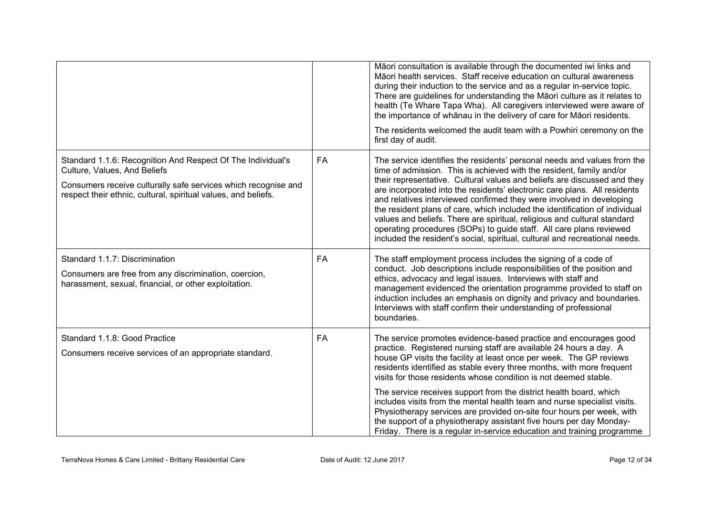|                                                                                                                                                                                                                                 |           | Māori consultation is available through the documented iwi links and<br>Māori health services. Staff receive education on cultural awareness<br>during their induction to the service and as a regular in-service topic.<br>There are guidelines for understanding the Māori culture as it relates to<br>health (Te Whare Tapa Wha). All caregivers interviewed were aware of<br>the importance of whanau in the delivery of care for Maori residents.<br>The residents welcomed the audit team with a Powhiri ceremony on the<br>first day of audit.                                                                                                                                              |
|---------------------------------------------------------------------------------------------------------------------------------------------------------------------------------------------------------------------------------|-----------|----------------------------------------------------------------------------------------------------------------------------------------------------------------------------------------------------------------------------------------------------------------------------------------------------------------------------------------------------------------------------------------------------------------------------------------------------------------------------------------------------------------------------------------------------------------------------------------------------------------------------------------------------------------------------------------------------|
|                                                                                                                                                                                                                                 |           |                                                                                                                                                                                                                                                                                                                                                                                                                                                                                                                                                                                                                                                                                                    |
| Standard 1.1.6: Recognition And Respect Of The Individual's<br>Culture, Values, And Beliefs<br>Consumers receive culturally safe services which recognise and<br>respect their ethnic, cultural, spiritual values, and beliefs. | <b>FA</b> | The service identifies the residents' personal needs and values from the<br>time of admission. This is achieved with the resident, family and/or<br>their representative. Cultural values and beliefs are discussed and they<br>are incorporated into the residents' electronic care plans. All residents<br>and relatives interviewed confirmed they were involved in developing<br>the resident plans of care, which included the identification of individual<br>values and beliefs. There are spiritual, religious and cultural standard<br>operating procedures (SOPs) to guide staff. All care plans reviewed<br>included the resident's social, spiritual, cultural and recreational needs. |
| Standard 1.1.7: Discrimination<br>Consumers are free from any discrimination, coercion,<br>harassment, sexual, financial, or other exploitation.                                                                                | <b>FA</b> | The staff employment process includes the signing of a code of<br>conduct. Job descriptions include responsibilities of the position and<br>ethics, advocacy and legal issues. Interviews with staff and<br>management evidenced the orientation programme provided to staff on<br>induction includes an emphasis on dignity and privacy and boundaries.<br>Interviews with staff confirm their understanding of professional<br>boundaries.                                                                                                                                                                                                                                                       |
| Standard 1.1.8: Good Practice<br>Consumers receive services of an appropriate standard.                                                                                                                                         | FA        | The service promotes evidence-based practice and encourages good<br>practice. Registered nursing staff are available 24 hours a day. A<br>house GP visits the facility at least once per week. The GP reviews<br>residents identified as stable every three months, with more frequent<br>visits for those residents whose condition is not deemed stable.                                                                                                                                                                                                                                                                                                                                         |
|                                                                                                                                                                                                                                 |           | The service receives support from the district health board, which<br>includes visits from the mental health team and nurse specialist visits.<br>Physiotherapy services are provided on-site four hours per week, with<br>the support of a physiotherapy assistant five hours per day Monday-<br>Friday. There is a regular in-service education and training programme                                                                                                                                                                                                                                                                                                                           |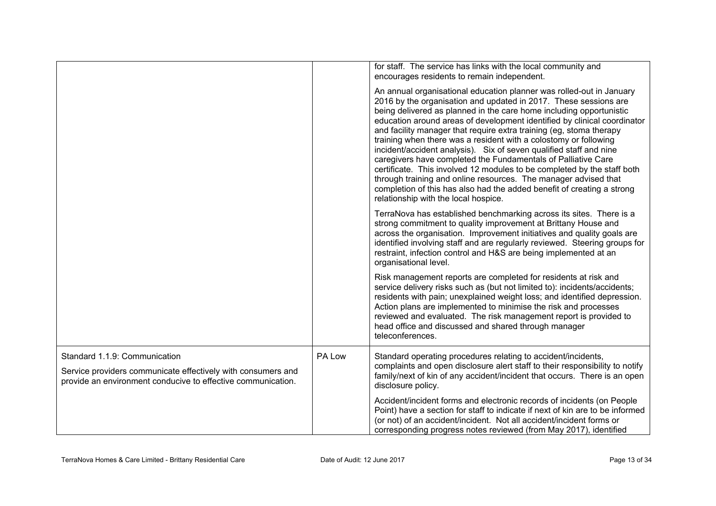|                                                                                                                                                               |        | for staff. The service has links with the local community and<br>encourages residents to remain independent.<br>An annual organisational education planner was rolled-out in January<br>2016 by the organisation and updated in 2017. These sessions are<br>being delivered as planned in the care home including opportunistic<br>education around areas of development identified by clinical coordinator<br>and facility manager that require extra training (eg, stoma therapy<br>training when there was a resident with a colostomy or following<br>incident/accident analysis). Six of seven qualified staff and nine<br>caregivers have completed the Fundamentals of Palliative Care<br>certificate. This involved 12 modules to be completed by the staff both<br>through training and online resources. The manager advised that<br>completion of this has also had the added benefit of creating a strong<br>relationship with the local hospice. |
|---------------------------------------------------------------------------------------------------------------------------------------------------------------|--------|---------------------------------------------------------------------------------------------------------------------------------------------------------------------------------------------------------------------------------------------------------------------------------------------------------------------------------------------------------------------------------------------------------------------------------------------------------------------------------------------------------------------------------------------------------------------------------------------------------------------------------------------------------------------------------------------------------------------------------------------------------------------------------------------------------------------------------------------------------------------------------------------------------------------------------------------------------------|
|                                                                                                                                                               |        | TerraNova has established benchmarking across its sites. There is a<br>strong commitment to quality improvement at Brittany House and<br>across the organisation. Improvement initiatives and quality goals are<br>identified involving staff and are regularly reviewed. Steering groups for<br>restraint, infection control and H&S are being implemented at an<br>organisational level.                                                                                                                                                                                                                                                                                                                                                                                                                                                                                                                                                                    |
|                                                                                                                                                               |        | Risk management reports are completed for residents at risk and<br>service delivery risks such as (but not limited to): incidents/accidents;<br>residents with pain; unexplained weight loss; and identified depression.<br>Action plans are implemented to minimise the risk and processes<br>reviewed and evaluated. The risk management report is provided to<br>head office and discussed and shared through manager<br>teleconferences.                                                                                                                                                                                                                                                                                                                                                                                                                                                                                                                  |
| Standard 1.1.9: Communication<br>Service providers communicate effectively with consumers and<br>provide an environment conducive to effective communication. | PA Low | Standard operating procedures relating to accident/incidents,<br>complaints and open disclosure alert staff to their responsibility to notify<br>family/next of kin of any accident/incident that occurs. There is an open<br>disclosure policy.                                                                                                                                                                                                                                                                                                                                                                                                                                                                                                                                                                                                                                                                                                              |
|                                                                                                                                                               |        | Accident/incident forms and electronic records of incidents (on People<br>Point) have a section for staff to indicate if next of kin are to be informed<br>(or not) of an accident/incident. Not all accident/incident forms or<br>corresponding progress notes reviewed (from May 2017), identified                                                                                                                                                                                                                                                                                                                                                                                                                                                                                                                                                                                                                                                          |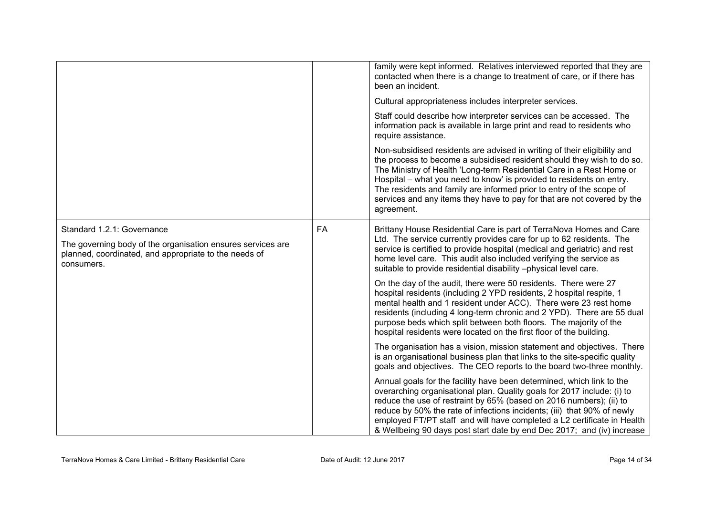|                                                                                                                                    |           | family were kept informed. Relatives interviewed reported that they are<br>contacted when there is a change to treatment of care, or if there has<br>been an incident.                                                                                                                                                                                                                                                                                              |
|------------------------------------------------------------------------------------------------------------------------------------|-----------|---------------------------------------------------------------------------------------------------------------------------------------------------------------------------------------------------------------------------------------------------------------------------------------------------------------------------------------------------------------------------------------------------------------------------------------------------------------------|
|                                                                                                                                    |           | Cultural appropriateness includes interpreter services.                                                                                                                                                                                                                                                                                                                                                                                                             |
|                                                                                                                                    |           | Staff could describe how interpreter services can be accessed. The<br>information pack is available in large print and read to residents who<br>require assistance.                                                                                                                                                                                                                                                                                                 |
|                                                                                                                                    |           | Non-subsidised residents are advised in writing of their eligibility and<br>the process to become a subsidised resident should they wish to do so.<br>The Ministry of Health 'Long-term Residential Care in a Rest Home or<br>Hospital – what you need to know' is provided to residents on entry.<br>The residents and family are informed prior to entry of the scope of<br>services and any items they have to pay for that are not covered by the<br>agreement. |
| Standard 1.2.1: Governance                                                                                                         | <b>FA</b> | Brittany House Residential Care is part of TerraNova Homes and Care                                                                                                                                                                                                                                                                                                                                                                                                 |
| The governing body of the organisation ensures services are<br>planned, coordinated, and appropriate to the needs of<br>consumers. |           | Ltd. The service currently provides care for up to 62 residents. The<br>service is certified to provide hospital (medical and geriatric) and rest<br>home level care. This audit also included verifying the service as<br>suitable to provide residential disability -physical level care.                                                                                                                                                                         |
|                                                                                                                                    |           | On the day of the audit, there were 50 residents. There were 27<br>hospital residents (including 2 YPD residents, 2 hospital respite, 1<br>mental health and 1 resident under ACC). There were 23 rest home<br>residents (including 4 long-term chronic and 2 YPD). There are 55 dual<br>purpose beds which split between both floors. The majority of the<br>hospital residents were located on the first floor of the building.                                   |
|                                                                                                                                    |           | The organisation has a vision, mission statement and objectives. There<br>is an organisational business plan that links to the site-specific quality<br>goals and objectives. The CEO reports to the board two-three monthly.                                                                                                                                                                                                                                       |
|                                                                                                                                    |           | Annual goals for the facility have been determined, which link to the<br>overarching organisational plan. Quality goals for 2017 include: (i) to<br>reduce the use of restraint by 65% (based on 2016 numbers); (ii) to<br>reduce by 50% the rate of infections incidents; (iii) that 90% of newly<br>employed FT/PT staff and will have completed a L2 certificate in Health<br>& Wellbeing 90 days post start date by end Dec 2017; and (iv) increase             |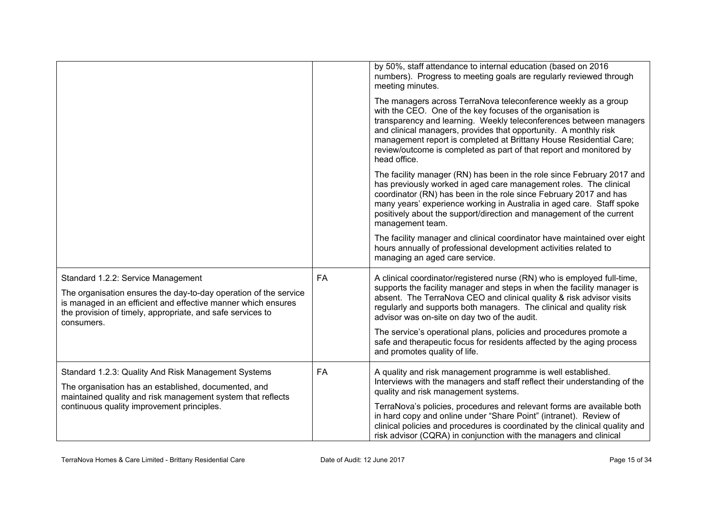|                                                                                                                                                                                                                                                     |           | by 50%, staff attendance to internal education (based on 2016<br>numbers). Progress to meeting goals are regularly reviewed through<br>meeting minutes.<br>The managers across TerraNova teleconference weekly as a group<br>with the CEO. One of the key focuses of the organisation is<br>transparency and learning. Weekly teleconferences between managers<br>and clinical managers, provides that opportunity. A monthly risk<br>management report is completed at Brittany House Residential Care;<br>review/outcome is completed as part of that report and monitored by<br>head office. |
|-----------------------------------------------------------------------------------------------------------------------------------------------------------------------------------------------------------------------------------------------------|-----------|-------------------------------------------------------------------------------------------------------------------------------------------------------------------------------------------------------------------------------------------------------------------------------------------------------------------------------------------------------------------------------------------------------------------------------------------------------------------------------------------------------------------------------------------------------------------------------------------------|
|                                                                                                                                                                                                                                                     |           | The facility manager (RN) has been in the role since February 2017 and<br>has previously worked in aged care management roles. The clinical<br>coordinator (RN) has been in the role since February 2017 and has<br>many years' experience working in Australia in aged care. Staff spoke<br>positively about the support/direction and management of the current<br>management team.                                                                                                                                                                                                           |
|                                                                                                                                                                                                                                                     |           | The facility manager and clinical coordinator have maintained over eight<br>hours annually of professional development activities related to<br>managing an aged care service.                                                                                                                                                                                                                                                                                                                                                                                                                  |
| Standard 1.2.2: Service Management<br>The organisation ensures the day-to-day operation of the service<br>is managed in an efficient and effective manner which ensures<br>the provision of timely, appropriate, and safe services to<br>consumers. | <b>FA</b> | A clinical coordinator/registered nurse (RN) who is employed full-time,<br>supports the facility manager and steps in when the facility manager is<br>absent. The TerraNova CEO and clinical quality & risk advisor visits<br>regularly and supports both managers. The clinical and quality risk<br>advisor was on-site on day two of the audit.<br>The service's operational plans, policies and procedures promote a<br>safe and therapeutic focus for residents affected by the aging process<br>and promotes quality of life.                                                              |
| Standard 1.2.3: Quality And Risk Management Systems<br>The organisation has an established, documented, and<br>maintained quality and risk management system that reflects<br>continuous quality improvement principles.                            | <b>FA</b> | A quality and risk management programme is well established.<br>Interviews with the managers and staff reflect their understanding of the<br>quality and risk management systems.<br>TerraNova's policies, procedures and relevant forms are available both<br>in hard copy and online under "Share Point" (intranet). Review of<br>clinical policies and procedures is coordinated by the clinical quality and<br>risk advisor (CQRA) in conjunction with the managers and clinical                                                                                                            |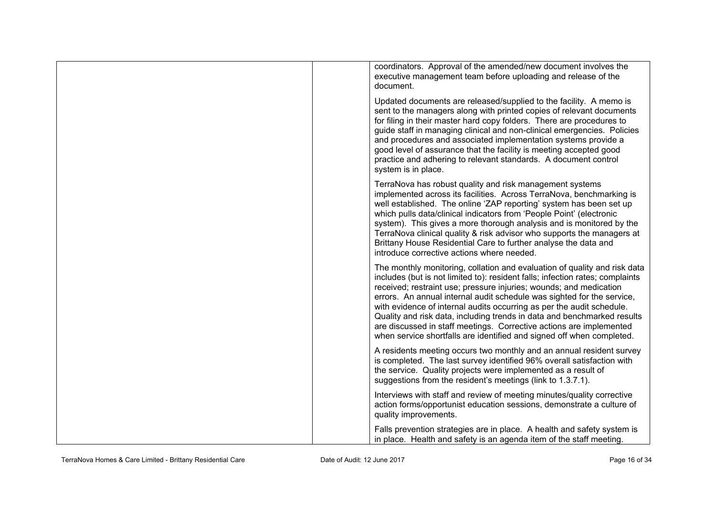| coordinators. Approval of the amended/new document involves the<br>executive management team before uploading and release of the<br>document.                                                                                                                                                                                                                                                                                                                                                                                                                                                                  |
|----------------------------------------------------------------------------------------------------------------------------------------------------------------------------------------------------------------------------------------------------------------------------------------------------------------------------------------------------------------------------------------------------------------------------------------------------------------------------------------------------------------------------------------------------------------------------------------------------------------|
| Updated documents are released/supplied to the facility. A memo is<br>sent to the managers along with printed copies of relevant documents<br>for filing in their master hard copy folders. There are procedures to<br>guide staff in managing clinical and non-clinical emergencies. Policies<br>and procedures and associated implementation systems provide a<br>good level of assurance that the facility is meeting accepted good<br>practice and adhering to relevant standards. A document control<br>system is in place.                                                                               |
| TerraNova has robust quality and risk management systems<br>implemented across its facilities. Across TerraNova, benchmarking is<br>well established. The online 'ZAP reporting' system has been set up<br>which pulls data/clinical indicators from 'People Point' (electronic<br>system). This gives a more thorough analysis and is monitored by the<br>TerraNova clinical quality & risk advisor who supports the managers at<br>Brittany House Residential Care to further analyse the data and<br>introduce corrective actions where needed.                                                             |
| The monthly monitoring, collation and evaluation of quality and risk data<br>includes (but is not limited to): resident falls; infection rates; complaints<br>received; restraint use; pressure injuries; wounds; and medication<br>errors. An annual internal audit schedule was sighted for the service,<br>with evidence of internal audits occurring as per the audit schedule.<br>Quality and risk data, including trends in data and benchmarked results<br>are discussed in staff meetings. Corrective actions are implemented<br>when service shortfalls are identified and signed off when completed. |
| A residents meeting occurs two monthly and an annual resident survey<br>is completed. The last survey identified 96% overall satisfaction with<br>the service. Quality projects were implemented as a result of<br>suggestions from the resident's meetings (link to 1.3.7.1).                                                                                                                                                                                                                                                                                                                                 |
| Interviews with staff and review of meeting minutes/quality corrective<br>action forms/opportunist education sessions, demonstrate a culture of<br>quality improvements.                                                                                                                                                                                                                                                                                                                                                                                                                                       |
| Falls prevention strategies are in place. A health and safety system is<br>in place. Health and safety is an agenda item of the staff meeting.                                                                                                                                                                                                                                                                                                                                                                                                                                                                 |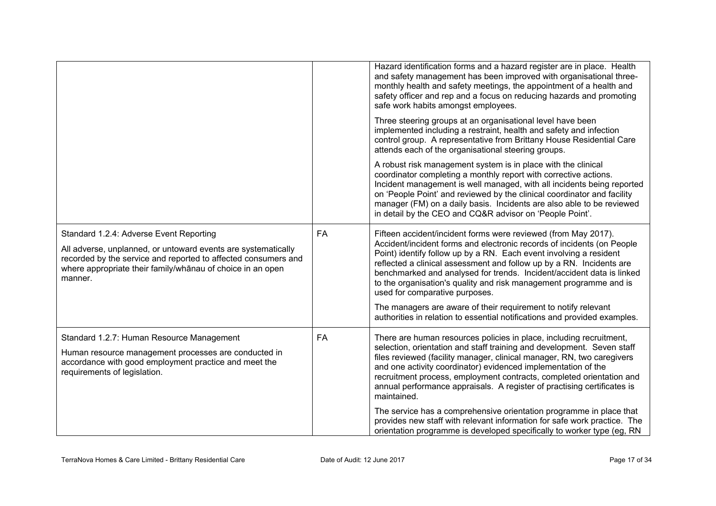|                                                                                                                                                                                                                                                     |    | Hazard identification forms and a hazard register are in place. Health<br>and safety management has been improved with organisational three-<br>monthly health and safety meetings, the appointment of a health and<br>safety officer and rep and a focus on reducing hazards and promoting<br>safe work habits amongst employees.                                                                                                                                      |
|-----------------------------------------------------------------------------------------------------------------------------------------------------------------------------------------------------------------------------------------------------|----|-------------------------------------------------------------------------------------------------------------------------------------------------------------------------------------------------------------------------------------------------------------------------------------------------------------------------------------------------------------------------------------------------------------------------------------------------------------------------|
|                                                                                                                                                                                                                                                     |    | Three steering groups at an organisational level have been<br>implemented including a restraint, health and safety and infection<br>control group. A representative from Brittany House Residential Care<br>attends each of the organisational steering groups.                                                                                                                                                                                                         |
|                                                                                                                                                                                                                                                     |    | A robust risk management system is in place with the clinical<br>coordinator completing a monthly report with corrective actions.<br>Incident management is well managed, with all incidents being reported<br>on 'People Point' and reviewed by the clinical coordinator and facility<br>manager (FM) on a daily basis. Incidents are also able to be reviewed<br>in detail by the CEO and CQ&R advisor on 'People Point'.                                             |
| Standard 1.2.4: Adverse Event Reporting<br>All adverse, unplanned, or untoward events are systematically<br>recorded by the service and reported to affected consumers and<br>where appropriate their family/whanau of choice in an open<br>manner. | FA | Fifteen accident/incident forms were reviewed (from May 2017).<br>Accident/incident forms and electronic records of incidents (on People<br>Point) identify follow up by a RN. Each event involving a resident<br>reflected a clinical assessment and follow up by a RN. Incidents are<br>benchmarked and analysed for trends. Incident/accident data is linked<br>to the organisation's quality and risk management programme and is<br>used for comparative purposes. |
|                                                                                                                                                                                                                                                     |    | The managers are aware of their requirement to notify relevant<br>authorities in relation to essential notifications and provided examples.                                                                                                                                                                                                                                                                                                                             |
| Standard 1.2.7: Human Resource Management<br>Human resource management processes are conducted in<br>accordance with good employment practice and meet the<br>requirements of legislation.                                                          | FA | There are human resources policies in place, including recruitment,<br>selection, orientation and staff training and development. Seven staff<br>files reviewed (facility manager, clinical manager, RN, two caregivers<br>and one activity coordinator) evidenced implementation of the<br>recruitment process, employment contracts, completed orientation and<br>annual performance appraisals. A register of practising certificates is<br>maintained.              |
|                                                                                                                                                                                                                                                     |    | The service has a comprehensive orientation programme in place that<br>provides new staff with relevant information for safe work practice. The<br>orientation programme is developed specifically to worker type (eg, RN                                                                                                                                                                                                                                               |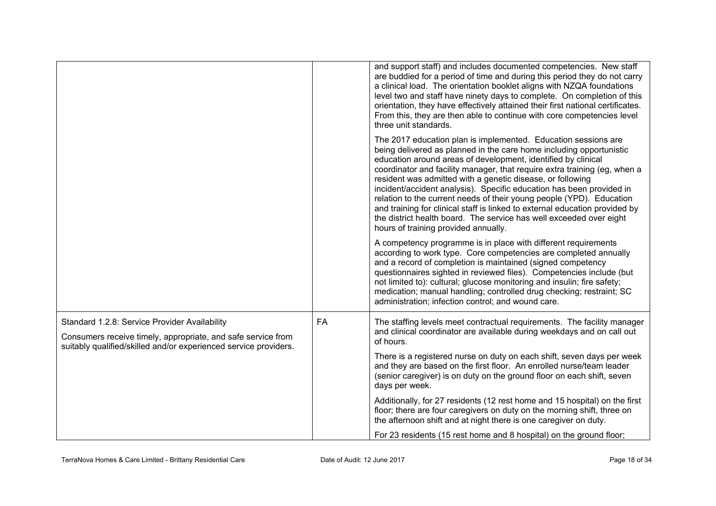|                                                                                                                                                                                   |           | and support staff) and includes documented competencies. New staff<br>are buddied for a period of time and during this period they do not carry<br>a clinical load. The orientation booklet aligns with NZQA foundations<br>level two and staff have ninety days to complete. On completion of this<br>orientation, they have effectively attained their first national certificates.<br>From this, they are then able to continue with core competencies level<br>three unit standards.                                                                                                                                                                                                        |
|-----------------------------------------------------------------------------------------------------------------------------------------------------------------------------------|-----------|-------------------------------------------------------------------------------------------------------------------------------------------------------------------------------------------------------------------------------------------------------------------------------------------------------------------------------------------------------------------------------------------------------------------------------------------------------------------------------------------------------------------------------------------------------------------------------------------------------------------------------------------------------------------------------------------------|
|                                                                                                                                                                                   |           | The 2017 education plan is implemented. Education sessions are<br>being delivered as planned in the care home including opportunistic<br>education around areas of development, identified by clinical<br>coordinator and facility manager, that require extra training (eg, when a<br>resident was admitted with a genetic disease, or following<br>incident/accident analysis). Specific education has been provided in<br>relation to the current needs of their young people (YPD). Education<br>and training for clinical staff is linked to external education provided by<br>the district health board. The service has well exceeded over eight<br>hours of training provided annually. |
|                                                                                                                                                                                   |           | A competency programme is in place with different requirements<br>according to work type. Core competencies are completed annually<br>and a record of completion is maintained (signed competency<br>questionnaires sighted in reviewed files). Competencies include (but<br>not limited to): cultural; glucose monitoring and insulin; fire safety;<br>medication; manual handling; controlled drug checking; restraint; SC<br>administration; infection control; and wound care.                                                                                                                                                                                                              |
| Standard 1.2.8: Service Provider Availability<br>Consumers receive timely, appropriate, and safe service from<br>suitably qualified/skilled and/or experienced service providers. | <b>FA</b> | The staffing levels meet contractual requirements. The facility manager<br>and clinical coordinator are available during weekdays and on call out<br>of hours.                                                                                                                                                                                                                                                                                                                                                                                                                                                                                                                                  |
|                                                                                                                                                                                   |           | There is a registered nurse on duty on each shift, seven days per week<br>and they are based on the first floor. An enrolled nurse/team leader<br>(senior caregiver) is on duty on the ground floor on each shift, seven<br>days per week.                                                                                                                                                                                                                                                                                                                                                                                                                                                      |
|                                                                                                                                                                                   |           | Additionally, for 27 residents (12 rest home and 15 hospital) on the first<br>floor; there are four caregivers on duty on the morning shift, three on<br>the afternoon shift and at night there is one caregiver on duty.                                                                                                                                                                                                                                                                                                                                                                                                                                                                       |
|                                                                                                                                                                                   |           | For 23 residents (15 rest home and 8 hospital) on the ground floor;                                                                                                                                                                                                                                                                                                                                                                                                                                                                                                                                                                                                                             |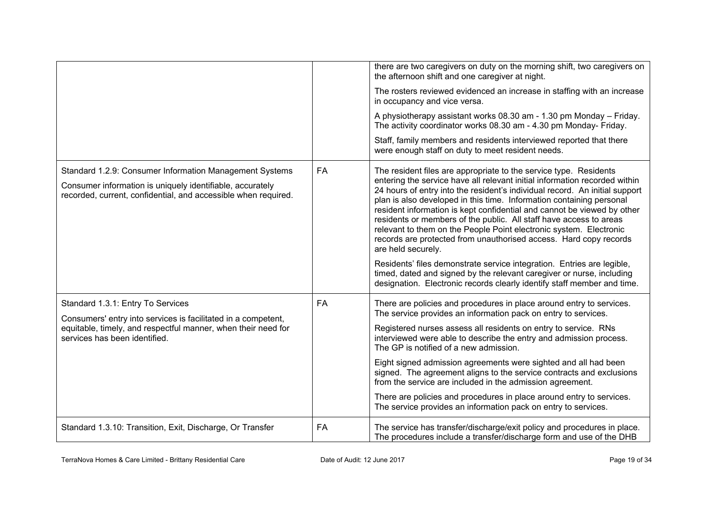|                                                                                                                                                                                        |           | there are two caregivers on duty on the morning shift, two caregivers on<br>the afternoon shift and one caregiver at night.                                                                                                                                                                                                                                                                                                                                                                                                                                                                                                                                                                                                                                                 |
|----------------------------------------------------------------------------------------------------------------------------------------------------------------------------------------|-----------|-----------------------------------------------------------------------------------------------------------------------------------------------------------------------------------------------------------------------------------------------------------------------------------------------------------------------------------------------------------------------------------------------------------------------------------------------------------------------------------------------------------------------------------------------------------------------------------------------------------------------------------------------------------------------------------------------------------------------------------------------------------------------------|
|                                                                                                                                                                                        |           | The rosters reviewed evidenced an increase in staffing with an increase<br>in occupancy and vice versa.                                                                                                                                                                                                                                                                                                                                                                                                                                                                                                                                                                                                                                                                     |
|                                                                                                                                                                                        |           | A physiotherapy assistant works 08.30 am - 1.30 pm Monday - Friday.<br>The activity coordinator works 08.30 am - 4.30 pm Monday- Friday.                                                                                                                                                                                                                                                                                                                                                                                                                                                                                                                                                                                                                                    |
|                                                                                                                                                                                        |           | Staff, family members and residents interviewed reported that there<br>were enough staff on duty to meet resident needs.                                                                                                                                                                                                                                                                                                                                                                                                                                                                                                                                                                                                                                                    |
| Standard 1.2.9: Consumer Information Management Systems<br>Consumer information is uniquely identifiable, accurately<br>recorded, current, confidential, and accessible when required. | FA        | The resident files are appropriate to the service type. Residents<br>entering the service have all relevant initial information recorded within<br>24 hours of entry into the resident's individual record. An initial support<br>plan is also developed in this time. Information containing personal<br>resident information is kept confidential and cannot be viewed by other<br>residents or members of the public. All staff have access to areas<br>relevant to them on the People Point electronic system. Electronic<br>records are protected from unauthorised access. Hard copy records<br>are held securely.<br>Residents' files demonstrate service integration. Entries are legible,<br>timed, dated and signed by the relevant caregiver or nurse, including |
|                                                                                                                                                                                        |           | designation. Electronic records clearly identify staff member and time.                                                                                                                                                                                                                                                                                                                                                                                                                                                                                                                                                                                                                                                                                                     |
| Standard 1.3.1: Entry To Services<br>Consumers' entry into services is facilitated in a competent,<br>equitable, timely, and respectful manner, when their need for                    | <b>FA</b> | There are policies and procedures in place around entry to services.<br>The service provides an information pack on entry to services.<br>Registered nurses assess all residents on entry to service. RNs                                                                                                                                                                                                                                                                                                                                                                                                                                                                                                                                                                   |
| services has been identified.                                                                                                                                                          |           | interviewed were able to describe the entry and admission process.<br>The GP is notified of a new admission.                                                                                                                                                                                                                                                                                                                                                                                                                                                                                                                                                                                                                                                                |
|                                                                                                                                                                                        |           | Eight signed admission agreements were sighted and all had been<br>signed. The agreement aligns to the service contracts and exclusions<br>from the service are included in the admission agreement.                                                                                                                                                                                                                                                                                                                                                                                                                                                                                                                                                                        |
|                                                                                                                                                                                        |           | There are policies and procedures in place around entry to services.<br>The service provides an information pack on entry to services.                                                                                                                                                                                                                                                                                                                                                                                                                                                                                                                                                                                                                                      |
| Standard 1.3.10: Transition, Exit, Discharge, Or Transfer                                                                                                                              | FA        | The service has transfer/discharge/exit policy and procedures in place.<br>The procedures include a transfer/discharge form and use of the DHB                                                                                                                                                                                                                                                                                                                                                                                                                                                                                                                                                                                                                              |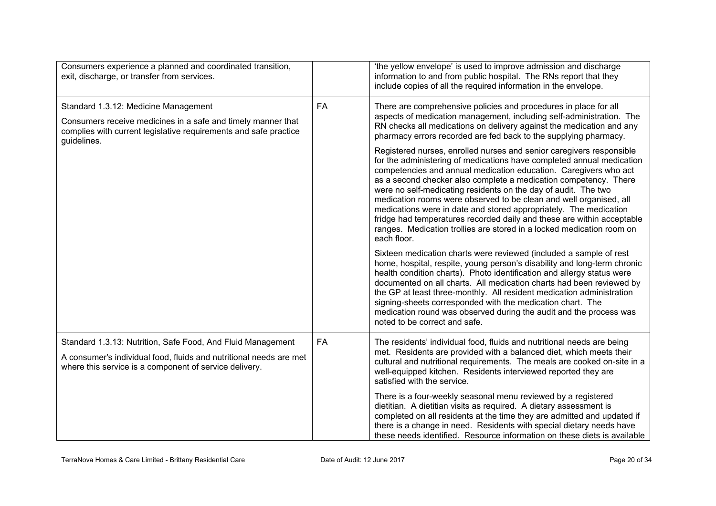| Consumers experience a planned and coordinated transition,<br>exit, discharge, or transfer from services.                                                                                   |           | 'the yellow envelope' is used to improve admission and discharge<br>information to and from public hospital. The RNs report that they<br>include copies of all the required information in the envelope.                                                                                                                                                                                                                                                                                                                                                                                                                                                                                                                                                                                                                                                                                                                                                     |
|---------------------------------------------------------------------------------------------------------------------------------------------------------------------------------------------|-----------|--------------------------------------------------------------------------------------------------------------------------------------------------------------------------------------------------------------------------------------------------------------------------------------------------------------------------------------------------------------------------------------------------------------------------------------------------------------------------------------------------------------------------------------------------------------------------------------------------------------------------------------------------------------------------------------------------------------------------------------------------------------------------------------------------------------------------------------------------------------------------------------------------------------------------------------------------------------|
| Standard 1.3.12: Medicine Management<br>Consumers receive medicines in a safe and timely manner that<br>complies with current legislative requirements and safe practice<br>guidelines.     | FA        | There are comprehensive policies and procedures in place for all<br>aspects of medication management, including self-administration. The<br>RN checks all medications on delivery against the medication and any<br>pharmacy errors recorded are fed back to the supplying pharmacy.<br>Registered nurses, enrolled nurses and senior caregivers responsible<br>for the administering of medications have completed annual medication<br>competencies and annual medication education. Caregivers who act<br>as a second checker also complete a medication competency. There<br>were no self-medicating residents on the day of audit. The two<br>medication rooms were observed to be clean and well organised, all<br>medications were in date and stored appropriately. The medication<br>fridge had temperatures recorded daily and these are within acceptable<br>ranges. Medication trollies are stored in a locked medication room on<br>each floor. |
|                                                                                                                                                                                             |           | Sixteen medication charts were reviewed (included a sample of rest<br>home, hospital, respite, young person's disability and long-term chronic<br>health condition charts). Photo identification and allergy status were<br>documented on all charts. All medication charts had been reviewed by<br>the GP at least three-monthly. All resident medication administration<br>signing-sheets corresponded with the medication chart. The<br>medication round was observed during the audit and the process was<br>noted to be correct and safe.                                                                                                                                                                                                                                                                                                                                                                                                               |
| Standard 1.3.13: Nutrition, Safe Food, And Fluid Management<br>A consumer's individual food, fluids and nutritional needs are met<br>where this service is a component of service delivery. | <b>FA</b> | The residents' individual food, fluids and nutritional needs are being<br>met. Residents are provided with a balanced diet, which meets their<br>cultural and nutritional requirements. The meals are cooked on-site in a<br>well-equipped kitchen. Residents interviewed reported they are<br>satisfied with the service.                                                                                                                                                                                                                                                                                                                                                                                                                                                                                                                                                                                                                                   |
|                                                                                                                                                                                             |           | There is a four-weekly seasonal menu reviewed by a registered<br>dietitian. A dietitian visits as required. A dietary assessment is<br>completed on all residents at the time they are admitted and updated if<br>there is a change in need. Residents with special dietary needs have<br>these needs identified. Resource information on these diets is available                                                                                                                                                                                                                                                                                                                                                                                                                                                                                                                                                                                           |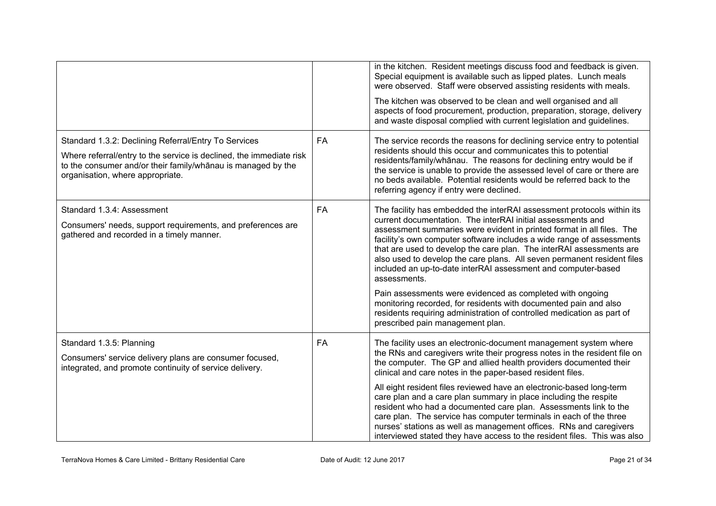|                                                                                                                                                                                                                                 |           | in the kitchen. Resident meetings discuss food and feedback is given.<br>Special equipment is available such as lipped plates. Lunch meals<br>were observed. Staff were observed assisting residents with meals.<br>The kitchen was observed to be clean and well organised and all<br>aspects of food procurement, production, preparation, storage, delivery<br>and waste disposal complied with current legislation and guidelines.                                                                                                                                                                                                                                                                                                 |
|---------------------------------------------------------------------------------------------------------------------------------------------------------------------------------------------------------------------------------|-----------|----------------------------------------------------------------------------------------------------------------------------------------------------------------------------------------------------------------------------------------------------------------------------------------------------------------------------------------------------------------------------------------------------------------------------------------------------------------------------------------------------------------------------------------------------------------------------------------------------------------------------------------------------------------------------------------------------------------------------------------|
| Standard 1.3.2: Declining Referral/Entry To Services<br>Where referral/entry to the service is declined, the immediate risk<br>to the consumer and/or their family/whanau is managed by the<br>organisation, where appropriate. | <b>FA</b> | The service records the reasons for declining service entry to potential<br>residents should this occur and communicates this to potential<br>residents/family/whanau. The reasons for declining entry would be if<br>the service is unable to provide the assessed level of care or there are<br>no beds available. Potential residents would be referred back to the<br>referring agency if entry were declined.                                                                                                                                                                                                                                                                                                                     |
| Standard 1.3.4: Assessment<br>Consumers' needs, support requirements, and preferences are<br>gathered and recorded in a timely manner.                                                                                          | <b>FA</b> | The facility has embedded the interRAI assessment protocols within its<br>current documentation. The interRAI initial assessments and<br>assessment summaries were evident in printed format in all files. The<br>facility's own computer software includes a wide range of assessments<br>that are used to develop the care plan. The interRAI assessments are<br>also used to develop the care plans. All seven permanent resident files<br>included an up-to-date interRAI assessment and computer-based<br>assessments.<br>Pain assessments were evidenced as completed with ongoing<br>monitoring recorded, for residents with documented pain and also<br>residents requiring administration of controlled medication as part of |
|                                                                                                                                                                                                                                 |           | prescribed pain management plan.                                                                                                                                                                                                                                                                                                                                                                                                                                                                                                                                                                                                                                                                                                       |
| Standard 1.3.5: Planning<br>Consumers' service delivery plans are consumer focused,<br>integrated, and promote continuity of service delivery.                                                                                  | <b>FA</b> | The facility uses an electronic-document management system where<br>the RNs and caregivers write their progress notes in the resident file on<br>the computer. The GP and allied health providers documented their<br>clinical and care notes in the paper-based resident files.                                                                                                                                                                                                                                                                                                                                                                                                                                                       |
|                                                                                                                                                                                                                                 |           | All eight resident files reviewed have an electronic-based long-term<br>care plan and a care plan summary in place including the respite<br>resident who had a documented care plan. Assessments link to the<br>care plan. The service has computer terminals in each of the three<br>nurses' stations as well as management offices. RNs and caregivers<br>interviewed stated they have access to the resident files. This was also                                                                                                                                                                                                                                                                                                   |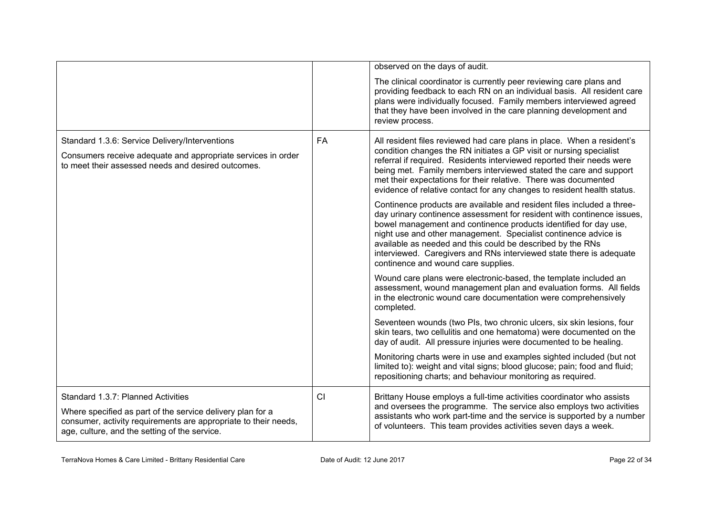|                                                                                                                                                                                                                      |    | observed on the days of audit.                                                                                                                                                                                                                                                                                                                                                                                                                                      |
|----------------------------------------------------------------------------------------------------------------------------------------------------------------------------------------------------------------------|----|---------------------------------------------------------------------------------------------------------------------------------------------------------------------------------------------------------------------------------------------------------------------------------------------------------------------------------------------------------------------------------------------------------------------------------------------------------------------|
|                                                                                                                                                                                                                      |    | The clinical coordinator is currently peer reviewing care plans and<br>providing feedback to each RN on an individual basis. All resident care<br>plans were individually focused. Family members interviewed agreed<br>that they have been involved in the care planning development and<br>review process.                                                                                                                                                        |
| Standard 1.3.6: Service Delivery/Interventions<br>Consumers receive adequate and appropriate services in order<br>to meet their assessed needs and desired outcomes.                                                 | FA | All resident files reviewed had care plans in place. When a resident's<br>condition changes the RN initiates a GP visit or nursing specialist<br>referral if required. Residents interviewed reported their needs were<br>being met. Family members interviewed stated the care and support<br>met their expectations for their relative. There was documented<br>evidence of relative contact for any changes to resident health status.                           |
|                                                                                                                                                                                                                      |    | Continence products are available and resident files included a three-<br>day urinary continence assessment for resident with continence issues,<br>bowel management and continence products identified for day use,<br>night use and other management. Specialist continence advice is<br>available as needed and this could be described by the RNs<br>interviewed. Caregivers and RNs interviewed state there is adequate<br>continence and wound care supplies. |
|                                                                                                                                                                                                                      |    | Wound care plans were electronic-based, the template included an<br>assessment, wound management plan and evaluation forms. All fields<br>in the electronic wound care documentation were comprehensively<br>completed.                                                                                                                                                                                                                                             |
|                                                                                                                                                                                                                      |    | Seventeen wounds (two PIs, two chronic ulcers, six skin lesions, four<br>skin tears, two cellulitis and one hematoma) were documented on the<br>day of audit. All pressure injuries were documented to be healing.                                                                                                                                                                                                                                                  |
|                                                                                                                                                                                                                      |    | Monitoring charts were in use and examples sighted included (but not<br>limited to): weight and vital signs; blood glucose; pain; food and fluid;<br>repositioning charts; and behaviour monitoring as required.                                                                                                                                                                                                                                                    |
| Standard 1.3.7: Planned Activities<br>Where specified as part of the service delivery plan for a<br>consumer, activity requirements are appropriate to their needs,<br>age, culture, and the setting of the service. | CI | Brittany House employs a full-time activities coordinator who assists<br>and oversees the programme. The service also employs two activities<br>assistants who work part-time and the service is supported by a number<br>of volunteers. This team provides activities seven days a week.                                                                                                                                                                           |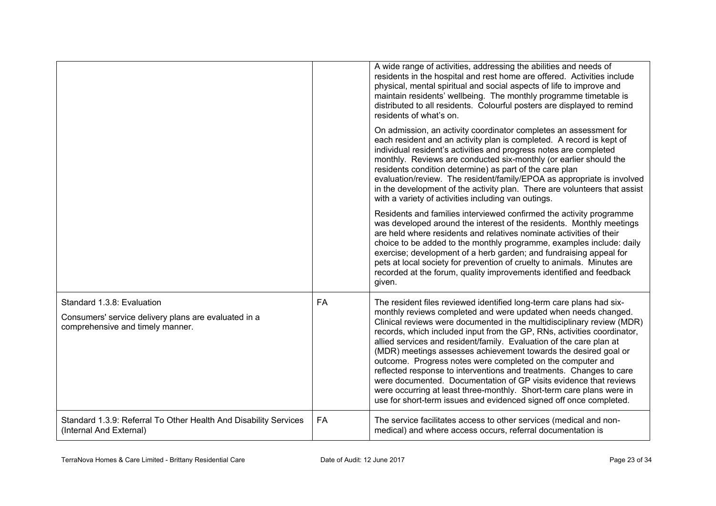|                                                                                                                        |           | A wide range of activities, addressing the abilities and needs of<br>residents in the hospital and rest home are offered. Activities include<br>physical, mental spiritual and social aspects of life to improve and<br>maintain residents' wellbeing. The monthly programme timetable is<br>distributed to all residents. Colourful posters are displayed to remind<br>residents of what's on.                                                                                                                                                                                                                                                                                                                                                                                               |
|------------------------------------------------------------------------------------------------------------------------|-----------|-----------------------------------------------------------------------------------------------------------------------------------------------------------------------------------------------------------------------------------------------------------------------------------------------------------------------------------------------------------------------------------------------------------------------------------------------------------------------------------------------------------------------------------------------------------------------------------------------------------------------------------------------------------------------------------------------------------------------------------------------------------------------------------------------|
|                                                                                                                        |           | On admission, an activity coordinator completes an assessment for<br>each resident and an activity plan is completed. A record is kept of<br>individual resident's activities and progress notes are completed<br>monthly. Reviews are conducted six-monthly (or earlier should the<br>residents condition determine) as part of the care plan<br>evaluation/review. The resident/family/EPOA as appropriate is involved<br>in the development of the activity plan. There are volunteers that assist<br>with a variety of activities including van outings.                                                                                                                                                                                                                                  |
|                                                                                                                        |           | Residents and families interviewed confirmed the activity programme<br>was developed around the interest of the residents. Monthly meetings<br>are held where residents and relatives nominate activities of their<br>choice to be added to the monthly programme, examples include: daily<br>exercise; development of a herb garden; and fundraising appeal for<br>pets at local society for prevention of cruelty to animals. Minutes are<br>recorded at the forum, quality improvements identified and feedback<br>given.                                                                                                                                                                                                                                                                  |
| Standard 1.3.8: Evaluation<br>Consumers' service delivery plans are evaluated in a<br>comprehensive and timely manner. | <b>FA</b> | The resident files reviewed identified long-term care plans had six-<br>monthly reviews completed and were updated when needs changed.<br>Clinical reviews were documented in the multidisciplinary review (MDR)<br>records, which included input from the GP, RNs, activities coordinator,<br>allied services and resident/family. Evaluation of the care plan at<br>(MDR) meetings assesses achievement towards the desired goal or<br>outcome. Progress notes were completed on the computer and<br>reflected response to interventions and treatments. Changes to care<br>were documented. Documentation of GP visits evidence that reviews<br>were occurring at least three-monthly. Short-term care plans were in<br>use for short-term issues and evidenced signed off once completed. |
| Standard 1.3.9: Referral To Other Health And Disability Services<br>(Internal And External)                            | <b>FA</b> | The service facilitates access to other services (medical and non-<br>medical) and where access occurs, referral documentation is                                                                                                                                                                                                                                                                                                                                                                                                                                                                                                                                                                                                                                                             |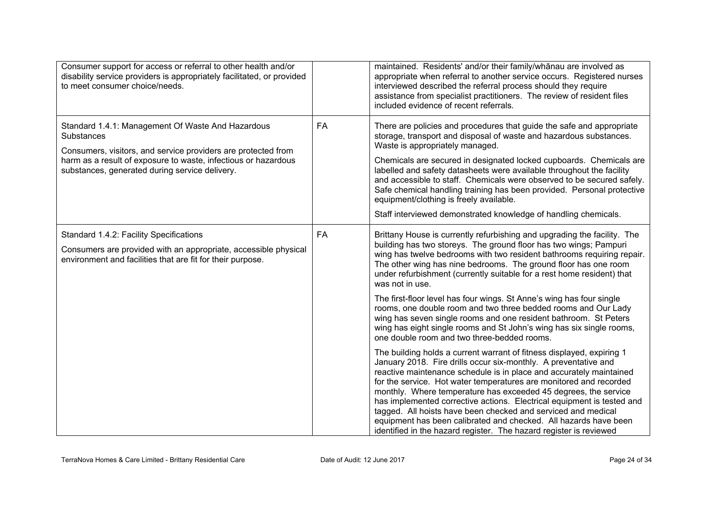| Consumer support for access or referral to other health and/or<br>disability service providers is appropriately facilitated, or provided<br>to meet consumer choice/needs.        |           | maintained. Residents' and/or their family/whanau are involved as<br>appropriate when referral to another service occurs. Registered nurses<br>interviewed described the referral process should they require<br>assistance from specialist practitioners. The review of resident files<br>included evidence of recent referrals.                                                                                                                                                                                                                                                                                                             |
|-----------------------------------------------------------------------------------------------------------------------------------------------------------------------------------|-----------|-----------------------------------------------------------------------------------------------------------------------------------------------------------------------------------------------------------------------------------------------------------------------------------------------------------------------------------------------------------------------------------------------------------------------------------------------------------------------------------------------------------------------------------------------------------------------------------------------------------------------------------------------|
| Standard 1.4.1: Management Of Waste And Hazardous<br><b>Substances</b>                                                                                                            | <b>FA</b> | There are policies and procedures that guide the safe and appropriate<br>storage, transport and disposal of waste and hazardous substances.<br>Waste is appropriately managed.                                                                                                                                                                                                                                                                                                                                                                                                                                                                |
| Consumers, visitors, and service providers are protected from<br>harm as a result of exposure to waste, infectious or hazardous<br>substances, generated during service delivery. |           | Chemicals are secured in designated locked cupboards. Chemicals are<br>labelled and safety datasheets were available throughout the facility<br>and accessible to staff. Chemicals were observed to be secured safely.<br>Safe chemical handling training has been provided. Personal protective<br>equipment/clothing is freely available.                                                                                                                                                                                                                                                                                                   |
|                                                                                                                                                                                   |           | Staff interviewed demonstrated knowledge of handling chemicals.                                                                                                                                                                                                                                                                                                                                                                                                                                                                                                                                                                               |
| Standard 1.4.2: Facility Specifications<br>Consumers are provided with an appropriate, accessible physical<br>environment and facilities that are fit for their purpose.          | <b>FA</b> | Brittany House is currently refurbishing and upgrading the facility. The<br>building has two storeys. The ground floor has two wings; Pampuri<br>wing has twelve bedrooms with two resident bathrooms requiring repair.<br>The other wing has nine bedrooms. The ground floor has one room<br>under refurbishment (currently suitable for a rest home resident) that<br>was not in use.                                                                                                                                                                                                                                                       |
|                                                                                                                                                                                   |           | The first-floor level has four wings. St Anne's wing has four single<br>rooms, one double room and two three bedded rooms and Our Lady<br>wing has seven single rooms and one resident bathroom. St Peters<br>wing has eight single rooms and St John's wing has six single rooms,<br>one double room and two three-bedded rooms.                                                                                                                                                                                                                                                                                                             |
|                                                                                                                                                                                   |           | The building holds a current warrant of fitness displayed, expiring 1<br>January 2018. Fire drills occur six-monthly. A preventative and<br>reactive maintenance schedule is in place and accurately maintained<br>for the service. Hot water temperatures are monitored and recorded<br>monthly. Where temperature has exceeded 45 degrees, the service<br>has implemented corrective actions. Electrical equipment is tested and<br>tagged. All hoists have been checked and serviced and medical<br>equipment has been calibrated and checked. All hazards have been<br>identified in the hazard register. The hazard register is reviewed |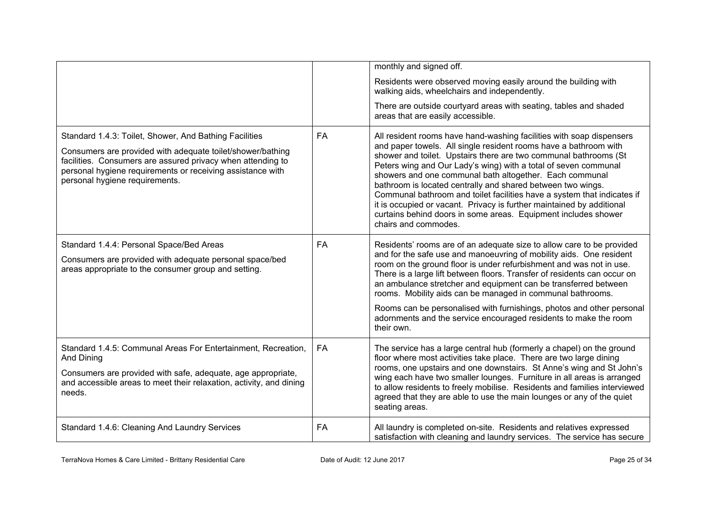|                                                                                                                                                                                                                                                                                     |           | monthly and signed off.                                                                                                                                                                                                                                                                                                                                                                                                                                                                                                                                                                                                                                 |
|-------------------------------------------------------------------------------------------------------------------------------------------------------------------------------------------------------------------------------------------------------------------------------------|-----------|---------------------------------------------------------------------------------------------------------------------------------------------------------------------------------------------------------------------------------------------------------------------------------------------------------------------------------------------------------------------------------------------------------------------------------------------------------------------------------------------------------------------------------------------------------------------------------------------------------------------------------------------------------|
|                                                                                                                                                                                                                                                                                     |           | Residents were observed moving easily around the building with<br>walking aids, wheelchairs and independently.                                                                                                                                                                                                                                                                                                                                                                                                                                                                                                                                          |
|                                                                                                                                                                                                                                                                                     |           | There are outside courtyard areas with seating, tables and shaded<br>areas that are easily accessible.                                                                                                                                                                                                                                                                                                                                                                                                                                                                                                                                                  |
| Standard 1.4.3: Toilet, Shower, And Bathing Facilities<br>Consumers are provided with adequate toilet/shower/bathing<br>facilities. Consumers are assured privacy when attending to<br>personal hygiene requirements or receiving assistance with<br>personal hygiene requirements. | <b>FA</b> | All resident rooms have hand-washing facilities with soap dispensers<br>and paper towels. All single resident rooms have a bathroom with<br>shower and toilet. Upstairs there are two communal bathrooms (St<br>Peters wing and Our Lady's wing) with a total of seven communal<br>showers and one communal bath altogether. Each communal<br>bathroom is located centrally and shared between two wings.<br>Communal bathroom and toilet facilities have a system that indicates if<br>it is occupied or vacant. Privacy is further maintained by additional<br>curtains behind doors in some areas. Equipment includes shower<br>chairs and commodes. |
| Standard 1.4.4: Personal Space/Bed Areas<br>Consumers are provided with adequate personal space/bed<br>areas appropriate to the consumer group and setting.                                                                                                                         | <b>FA</b> | Residents' rooms are of an adequate size to allow care to be provided<br>and for the safe use and manoeuvring of mobility aids. One resident<br>room on the ground floor is under refurbishment and was not in use.<br>There is a large lift between floors. Transfer of residents can occur on<br>an ambulance stretcher and equipment can be transferred between<br>rooms. Mobility aids can be managed in communal bathrooms.<br>Rooms can be personalised with furnishings, photos and other personal<br>adornments and the service encouraged residents to make the room<br>their own.                                                             |
| Standard 1.4.5: Communal Areas For Entertainment, Recreation,<br>And Dining<br>Consumers are provided with safe, adequate, age appropriate,<br>and accessible areas to meet their relaxation, activity, and dining<br>needs.                                                        | FA        | The service has a large central hub (formerly a chapel) on the ground<br>floor where most activities take place. There are two large dining<br>rooms, one upstairs and one downstairs. St Anne's wing and St John's<br>wing each have two smaller lounges. Furniture in all areas is arranged<br>to allow residents to freely mobilise. Residents and families interviewed<br>agreed that they are able to use the main lounges or any of the quiet<br>seating areas.                                                                                                                                                                                   |
| Standard 1.4.6: Cleaning And Laundry Services                                                                                                                                                                                                                                       | <b>FA</b> | All laundry is completed on-site. Residents and relatives expressed<br>satisfaction with cleaning and laundry services. The service has secure                                                                                                                                                                                                                                                                                                                                                                                                                                                                                                          |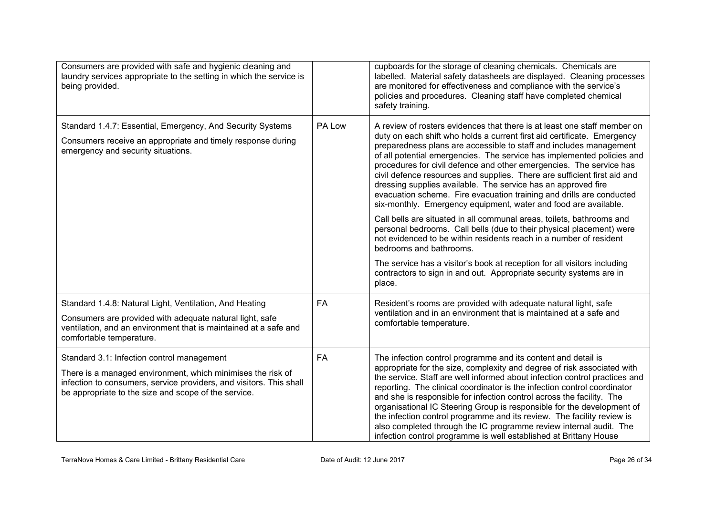| Consumers are provided with safe and hygienic cleaning and<br>laundry services appropriate to the setting in which the service is<br>being provided.                                                                                     |           | cupboards for the storage of cleaning chemicals. Chemicals are<br>labelled. Material safety datasheets are displayed. Cleaning processes<br>are monitored for effectiveness and compliance with the service's<br>policies and procedures. Cleaning staff have completed chemical<br>safety training.                                                                                                                                                                                                                                                                                                                                                                       |
|------------------------------------------------------------------------------------------------------------------------------------------------------------------------------------------------------------------------------------------|-----------|----------------------------------------------------------------------------------------------------------------------------------------------------------------------------------------------------------------------------------------------------------------------------------------------------------------------------------------------------------------------------------------------------------------------------------------------------------------------------------------------------------------------------------------------------------------------------------------------------------------------------------------------------------------------------|
| Standard 1.4.7: Essential, Emergency, And Security Systems<br>Consumers receive an appropriate and timely response during<br>emergency and security situations.                                                                          | PA Low    | A review of rosters evidences that there is at least one staff member on<br>duty on each shift who holds a current first aid certificate. Emergency<br>preparedness plans are accessible to staff and includes management<br>of all potential emergencies. The service has implemented policies and<br>procedures for civil defence and other emergencies. The service has<br>civil defence resources and supplies. There are sufficient first aid and<br>dressing supplies available. The service has an approved fire<br>evacuation scheme. Fire evacuation training and drills are conducted<br>six-monthly. Emergency equipment, water and food are available.         |
|                                                                                                                                                                                                                                          |           | Call bells are situated in all communal areas, toilets, bathrooms and<br>personal bedrooms. Call bells (due to their physical placement) were<br>not evidenced to be within residents reach in a number of resident<br>bedrooms and bathrooms.                                                                                                                                                                                                                                                                                                                                                                                                                             |
|                                                                                                                                                                                                                                          |           | The service has a visitor's book at reception for all visitors including<br>contractors to sign in and out. Appropriate security systems are in<br>place.                                                                                                                                                                                                                                                                                                                                                                                                                                                                                                                  |
| Standard 1.4.8: Natural Light, Ventilation, And Heating<br>Consumers are provided with adequate natural light, safe<br>ventilation, and an environment that is maintained at a safe and<br>comfortable temperature.                      | <b>FA</b> | Resident's rooms are provided with adequate natural light, safe<br>ventilation and in an environment that is maintained at a safe and<br>comfortable temperature.                                                                                                                                                                                                                                                                                                                                                                                                                                                                                                          |
| Standard 3.1: Infection control management<br>There is a managed environment, which minimises the risk of<br>infection to consumers, service providers, and visitors. This shall<br>be appropriate to the size and scope of the service. | FA        | The infection control programme and its content and detail is<br>appropriate for the size, complexity and degree of risk associated with<br>the service. Staff are well informed about infection control practices and<br>reporting. The clinical coordinator is the infection control coordinator<br>and she is responsible for infection control across the facility. The<br>organisational IC Steering Group is responsible for the development of<br>the infection control programme and its review. The facility review is<br>also completed through the IC programme review internal audit. The<br>infection control programme is well established at Brittany House |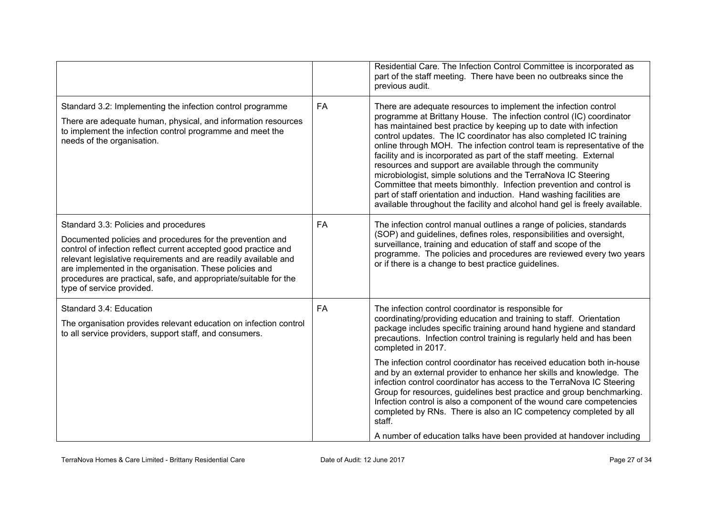|                                                                                                                                                                                                                                                                                                                                                                                                      |           | Residential Care. The Infection Control Committee is incorporated as<br>part of the staff meeting. There have been no outbreaks since the<br>previous audit.                                                                                                                                                                                                                                                                                                                                                                                                                                                                                                                                                                                                                                     |
|------------------------------------------------------------------------------------------------------------------------------------------------------------------------------------------------------------------------------------------------------------------------------------------------------------------------------------------------------------------------------------------------------|-----------|--------------------------------------------------------------------------------------------------------------------------------------------------------------------------------------------------------------------------------------------------------------------------------------------------------------------------------------------------------------------------------------------------------------------------------------------------------------------------------------------------------------------------------------------------------------------------------------------------------------------------------------------------------------------------------------------------------------------------------------------------------------------------------------------------|
| Standard 3.2: Implementing the infection control programme<br>There are adequate human, physical, and information resources<br>to implement the infection control programme and meet the<br>needs of the organisation.                                                                                                                                                                               | <b>FA</b> | There are adequate resources to implement the infection control<br>programme at Brittany House. The infection control (IC) coordinator<br>has maintained best practice by keeping up to date with infection<br>control updates. The IC coordinator has also completed IC training<br>online through MOH. The infection control team is representative of the<br>facility and is incorporated as part of the staff meeting. External<br>resources and support are available through the community<br>microbiologist, simple solutions and the TerraNova IC Steering<br>Committee that meets bimonthly. Infection prevention and control is<br>part of staff orientation and induction. Hand washing facilities are<br>available throughout the facility and alcohol hand gel is freely available. |
| Standard 3.3: Policies and procedures<br>Documented policies and procedures for the prevention and<br>control of infection reflect current accepted good practice and<br>relevant legislative requirements and are readily available and<br>are implemented in the organisation. These policies and<br>procedures are practical, safe, and appropriate/suitable for the<br>type of service provided. | <b>FA</b> | The infection control manual outlines a range of policies, standards<br>(SOP) and guidelines, defines roles, responsibilities and oversight,<br>surveillance, training and education of staff and scope of the<br>programme. The policies and procedures are reviewed every two years<br>or if there is a change to best practice guidelines.                                                                                                                                                                                                                                                                                                                                                                                                                                                    |
| Standard 3.4: Education<br>The organisation provides relevant education on infection control<br>to all service providers, support staff, and consumers.                                                                                                                                                                                                                                              | FA        | The infection control coordinator is responsible for<br>coordinating/providing education and training to staff. Orientation<br>package includes specific training around hand hygiene and standard<br>precautions. Infection control training is regularly held and has been<br>completed in 2017.                                                                                                                                                                                                                                                                                                                                                                                                                                                                                               |
|                                                                                                                                                                                                                                                                                                                                                                                                      |           | The infection control coordinator has received education both in-house<br>and by an external provider to enhance her skills and knowledge. The<br>infection control coordinator has access to the TerraNova IC Steering<br>Group for resources, guidelines best practice and group benchmarking.<br>Infection control is also a component of the wound care competencies<br>completed by RNs. There is also an IC competency completed by all<br>staff.                                                                                                                                                                                                                                                                                                                                          |
|                                                                                                                                                                                                                                                                                                                                                                                                      |           | A number of education talks have been provided at handover including                                                                                                                                                                                                                                                                                                                                                                                                                                                                                                                                                                                                                                                                                                                             |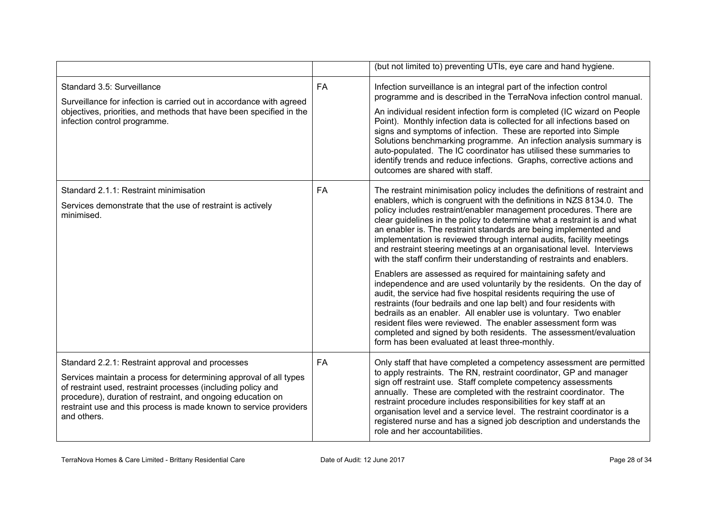|                                                                                                                                                                                                                                                                                                                                          |           | (but not limited to) preventing UTIs, eye care and hand hygiene.                                                                                                                                                                                                                                                                                                                                                                                                                                                                                                                                                                                                                                                                                                                                                                                                                                                                                                                                                                                                                                                                                            |
|------------------------------------------------------------------------------------------------------------------------------------------------------------------------------------------------------------------------------------------------------------------------------------------------------------------------------------------|-----------|-------------------------------------------------------------------------------------------------------------------------------------------------------------------------------------------------------------------------------------------------------------------------------------------------------------------------------------------------------------------------------------------------------------------------------------------------------------------------------------------------------------------------------------------------------------------------------------------------------------------------------------------------------------------------------------------------------------------------------------------------------------------------------------------------------------------------------------------------------------------------------------------------------------------------------------------------------------------------------------------------------------------------------------------------------------------------------------------------------------------------------------------------------------|
| Standard 3.5: Surveillance<br>Surveillance for infection is carried out in accordance with agreed<br>objectives, priorities, and methods that have been specified in the<br>infection control programme.                                                                                                                                 | <b>FA</b> | Infection surveillance is an integral part of the infection control<br>programme and is described in the TerraNova infection control manual.<br>An individual resident infection form is completed (IC wizard on People<br>Point). Monthly infection data is collected for all infections based on<br>signs and symptoms of infection. These are reported into Simple<br>Solutions benchmarking programme. An infection analysis summary is<br>auto-populated. The IC coordinator has utilised these summaries to<br>identify trends and reduce infections. Graphs, corrective actions and<br>outcomes are shared with staff.                                                                                                                                                                                                                                                                                                                                                                                                                                                                                                                               |
| Standard 2.1.1: Restraint minimisation<br>Services demonstrate that the use of restraint is actively<br>minimised.                                                                                                                                                                                                                       | <b>FA</b> | The restraint minimisation policy includes the definitions of restraint and<br>enablers, which is congruent with the definitions in NZS 8134.0. The<br>policy includes restraint/enabler management procedures. There are<br>clear guidelines in the policy to determine what a restraint is and what<br>an enabler is. The restraint standards are being implemented and<br>implementation is reviewed through internal audits, facility meetings<br>and restraint steering meetings at an organisational level. Interviews<br>with the staff confirm their understanding of restraints and enablers.<br>Enablers are assessed as required for maintaining safety and<br>independence and are used voluntarily by the residents. On the day of<br>audit, the service had five hospital residents requiring the use of<br>restraints (four bedrails and one lap belt) and four residents with<br>bedrails as an enabler. All enabler use is voluntary. Two enabler<br>resident files were reviewed. The enabler assessment form was<br>completed and signed by both residents. The assessment/evaluation<br>form has been evaluated at least three-monthly. |
| Standard 2.2.1: Restraint approval and processes<br>Services maintain a process for determining approval of all types<br>of restraint used, restraint processes (including policy and<br>procedure), duration of restraint, and ongoing education on<br>restraint use and this process is made known to service providers<br>and others. | <b>FA</b> | Only staff that have completed a competency assessment are permitted<br>to apply restraints. The RN, restraint coordinator, GP and manager<br>sign off restraint use. Staff complete competency assessments<br>annually. These are completed with the restraint coordinator. The<br>restraint procedure includes responsibilities for key staff at an<br>organisation level and a service level. The restraint coordinator is a<br>registered nurse and has a signed job description and understands the<br>role and her accountabilities.                                                                                                                                                                                                                                                                                                                                                                                                                                                                                                                                                                                                                  |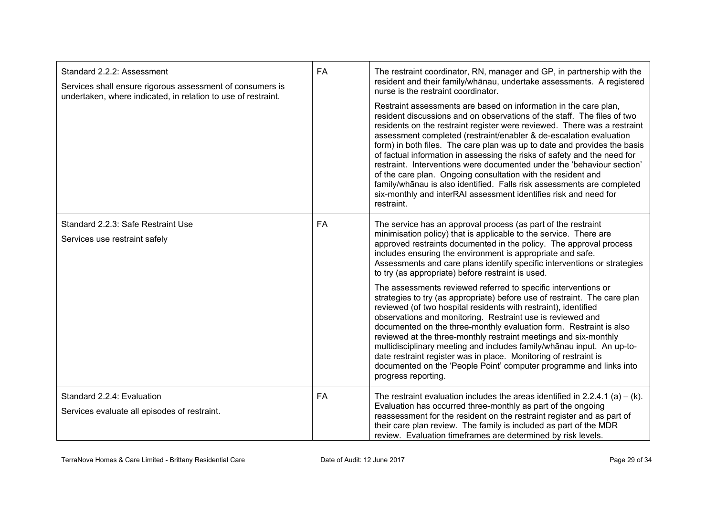| Standard 2.2.2: Assessment<br>Services shall ensure rigorous assessment of consumers is<br>undertaken, where indicated, in relation to use of restraint. | <b>FA</b> | The restraint coordinator, RN, manager and GP, in partnership with the<br>resident and their family/whanau, undertake assessments. A registered<br>nurse is the restraint coordinator.<br>Restraint assessments are based on information in the care plan,<br>resident discussions and on observations of the staff. The files of two<br>residents on the restraint register were reviewed. There was a restraint<br>assessment completed (restraint/enabler & de-escalation evaluation<br>form) in both files. The care plan was up to date and provides the basis<br>of factual information in assessing the risks of safety and the need for<br>restraint. Interventions were documented under the 'behaviour section'<br>of the care plan. Ongoing consultation with the resident and<br>family/whanau is also identified. Falls risk assessments are completed<br>six-monthly and interRAI assessment identifies risk and need for<br>restraint.                                                                                                                       |
|----------------------------------------------------------------------------------------------------------------------------------------------------------|-----------|-----------------------------------------------------------------------------------------------------------------------------------------------------------------------------------------------------------------------------------------------------------------------------------------------------------------------------------------------------------------------------------------------------------------------------------------------------------------------------------------------------------------------------------------------------------------------------------------------------------------------------------------------------------------------------------------------------------------------------------------------------------------------------------------------------------------------------------------------------------------------------------------------------------------------------------------------------------------------------------------------------------------------------------------------------------------------------|
| Standard 2.2.3: Safe Restraint Use<br>Services use restraint safely                                                                                      | FA        | The service has an approval process (as part of the restraint<br>minimisation policy) that is applicable to the service. There are<br>approved restraints documented in the policy. The approval process<br>includes ensuring the environment is appropriate and safe.<br>Assessments and care plans identify specific interventions or strategies<br>to try (as appropriate) before restraint is used.<br>The assessments reviewed referred to specific interventions or<br>strategies to try (as appropriate) before use of restraint. The care plan<br>reviewed (of two hospital residents with restraint), identified<br>observations and monitoring. Restraint use is reviewed and<br>documented on the three-monthly evaluation form. Restraint is also<br>reviewed at the three-monthly restraint meetings and six-monthly<br>multidisciplinary meeting and includes family/whanau input. An up-to-<br>date restraint register was in place. Monitoring of restraint is<br>documented on the 'People Point' computer programme and links into<br>progress reporting. |
| Standard 2.2.4: Evaluation<br>Services evaluate all episodes of restraint.                                                                               | FA        | The restraint evaluation includes the areas identified in 2.2.4.1 (a) $-$ (k).<br>Evaluation has occurred three-monthly as part of the ongoing<br>reassessment for the resident on the restraint register and as part of<br>their care plan review. The family is included as part of the MDR<br>review. Evaluation timeframes are determined by risk levels.                                                                                                                                                                                                                                                                                                                                                                                                                                                                                                                                                                                                                                                                                                               |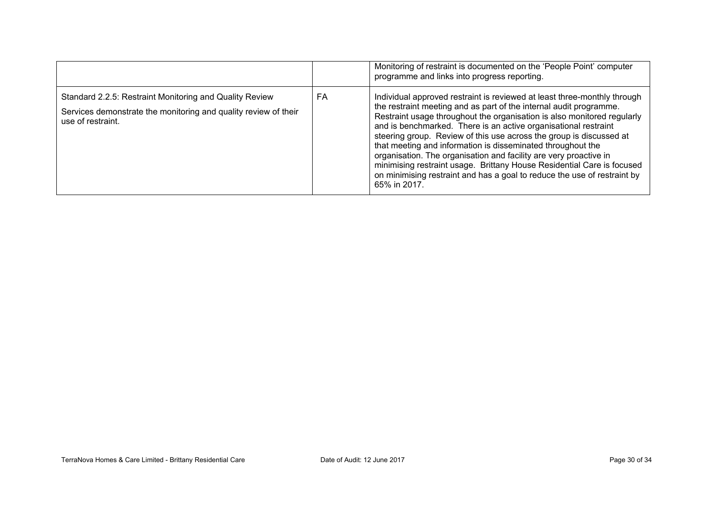|                                                                                                                                                 |    | Monitoring of restraint is documented on the 'People Point' computer<br>programme and links into progress reporting.                                                                                                                                                                                                                                                                                                                                                                                                                                                                                                                                                          |
|-------------------------------------------------------------------------------------------------------------------------------------------------|----|-------------------------------------------------------------------------------------------------------------------------------------------------------------------------------------------------------------------------------------------------------------------------------------------------------------------------------------------------------------------------------------------------------------------------------------------------------------------------------------------------------------------------------------------------------------------------------------------------------------------------------------------------------------------------------|
| Standard 2.2.5: Restraint Monitoring and Quality Review<br>Services demonstrate the monitoring and quality review of their<br>use of restraint. | FA | Individual approved restraint is reviewed at least three-monthly through<br>the restraint meeting and as part of the internal audit programme.<br>Restraint usage throughout the organisation is also monitored regularly<br>and is benchmarked. There is an active organisational restraint<br>steering group. Review of this use across the group is discussed at<br>that meeting and information is disseminated throughout the<br>organisation. The organisation and facility are very proactive in<br>minimising restraint usage. Brittany House Residential Care is focused<br>on minimising restraint and has a goal to reduce the use of restraint by<br>65% in 2017. |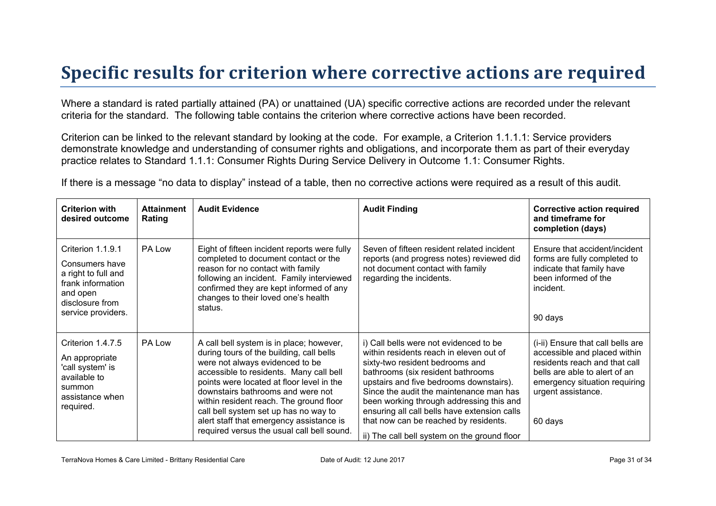### **Specific results for criterion where corrective actions are required**

Where a standard is rated partially attained (PA) or unattained (UA) specific corrective actions are recorded under the relevant criteria for the standard. The following table contains the criterion where corrective actions have been recorded.

Criterion can be linked to the relevant standard by looking at the code. For example, a Criterion 1.1.1.1: Service providers demonstrate knowledge and understanding of consumer rights and obligations, and incorporate them as part of their everyday practice relates to Standard 1.1.1: Consumer Rights During Service Delivery in Outcome 1.1: Consumer Rights.

If there is a message "no data to display" instead of a table, then no corrective actions were required as a result of this audit.

| <b>Criterion with</b><br>desired outcome                                                                                             | <b>Attainment</b><br>Rating | <b>Audit Evidence</b>                                                                                                                                                                                                                                                                                                                                                                                                              | <b>Audit Finding</b>                                                                                                                                                                                                                                                                                                                                                                                                                 | <b>Corrective action required</b><br>and timeframe for<br>completion (days)                                                                                                                           |
|--------------------------------------------------------------------------------------------------------------------------------------|-----------------------------|------------------------------------------------------------------------------------------------------------------------------------------------------------------------------------------------------------------------------------------------------------------------------------------------------------------------------------------------------------------------------------------------------------------------------------|--------------------------------------------------------------------------------------------------------------------------------------------------------------------------------------------------------------------------------------------------------------------------------------------------------------------------------------------------------------------------------------------------------------------------------------|-------------------------------------------------------------------------------------------------------------------------------------------------------------------------------------------------------|
| Criterion 1.1.9.1<br>Consumers have<br>a right to full and<br>frank information<br>and open<br>disclosure from<br>service providers. | PA Low                      | Eight of fifteen incident reports were fully<br>completed to document contact or the<br>reason for no contact with family<br>following an incident. Family interviewed<br>confirmed they are kept informed of any<br>changes to their loved one's health<br>status.                                                                                                                                                                | Seven of fifteen resident related incident<br>reports (and progress notes) reviewed did<br>not document contact with family<br>regarding the incidents.                                                                                                                                                                                                                                                                              | Ensure that accident/incident<br>forms are fully completed to<br>indicate that family have<br>been informed of the<br>incident.<br>90 days                                                            |
| Criterion 1.4.7.5<br>An appropriate<br>'call system' is<br>available to<br>summon<br>assistance when<br>required.                    | PA Low                      | A call bell system is in place; however,<br>during tours of the building, call bells<br>were not always evidenced to be<br>accessible to residents. Many call bell<br>points were located at floor level in the<br>downstairs bathrooms and were not<br>within resident reach. The ground floor<br>call bell system set up has no way to<br>alert staff that emergency assistance is<br>required versus the usual call bell sound. | i) Call bells were not evidenced to be<br>within residents reach in eleven out of<br>sixty-two resident bedrooms and<br>bathrooms (six resident bathrooms<br>upstairs and five bedrooms downstairs).<br>Since the audit the maintenance man has<br>been working through addressing this and<br>ensuring all call bells have extension calls<br>that now can be reached by residents.<br>ii) The call bell system on the ground floor | (i-ii) Ensure that call bells are<br>accessible and placed within<br>residents reach and that call<br>bells are able to alert of an<br>emergency situation requiring<br>urgent assistance.<br>60 days |

TerraNova Homes & Care Limited - Brittany Residential Care **Date of Audit: 12 June 2017** Page 31 of 34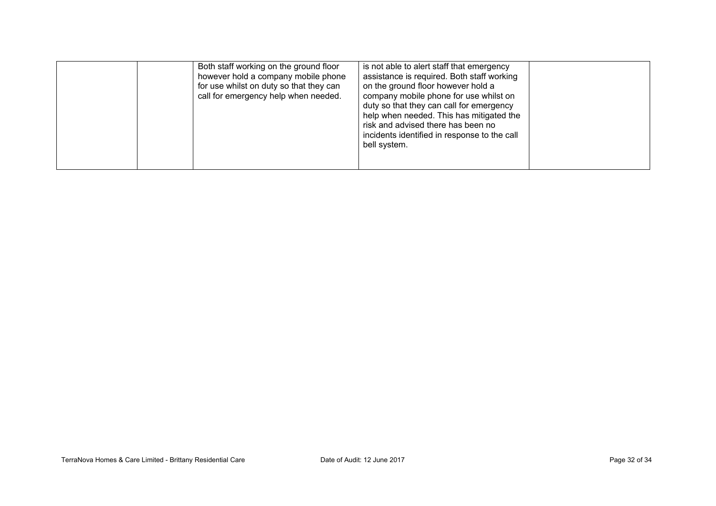| Both staff working on the ground floor<br>however hold a company mobile phone<br>for use whilst on duty so that they can<br>call for emergency help when needed. | is not able to alert staff that emergency<br>assistance is required. Both staff working<br>on the ground floor however hold a<br>company mobile phone for use whilst on<br>duty so that they can call for emergency<br>help when needed. This has mitigated the<br>risk and advised there has been no<br>incidents identified in response to the call<br>bell system. |  |
|------------------------------------------------------------------------------------------------------------------------------------------------------------------|-----------------------------------------------------------------------------------------------------------------------------------------------------------------------------------------------------------------------------------------------------------------------------------------------------------------------------------------------------------------------|--|
|------------------------------------------------------------------------------------------------------------------------------------------------------------------|-----------------------------------------------------------------------------------------------------------------------------------------------------------------------------------------------------------------------------------------------------------------------------------------------------------------------------------------------------------------------|--|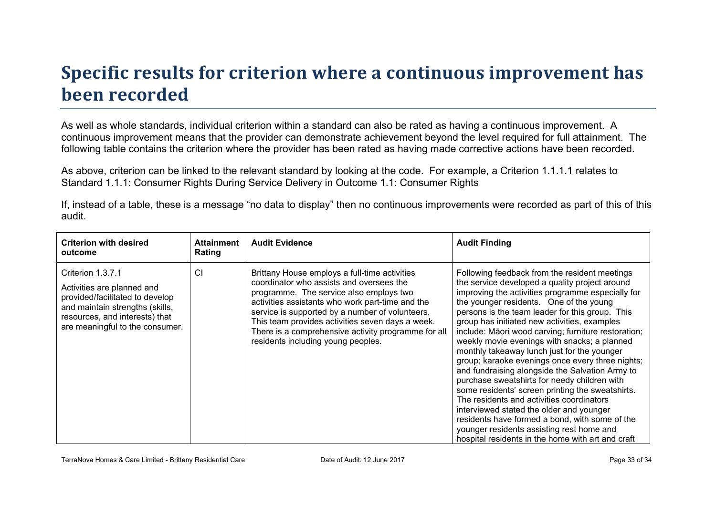# **Specific results for criterion where a continuous improvement has been recorded**

As well as whole standards, individual criterion within a standard can also be rated as having a continuous improvement. A continuous improvement means that the provider can demonstrate achievement beyond the level required for full attainment. The following table contains the criterion where the provider has been rated as having made corrective actions have been recorded.

As above, criterion can be linked to the relevant standard by looking at the code. For example, a Criterion 1.1.1.1 relates to Standard 1.1.1: Consumer Rights During Service Delivery in Outcome 1.1: Consumer Rights

If, instead of a table, these is a message "no data to display" then no continuous improvements were recorded as part of this of this audit.

| <b>Criterion with desired</b><br>outcome                                                                                                                                                   | <b>Attainment</b><br>Rating | <b>Audit Evidence</b>                                                                                                                                                                                                                                                                                                                                                                        | <b>Audit Finding</b>                                                                                                                                                                                                                                                                                                                                                                                                                                                                                                                                                                                                                                                                                                                                                                                                                                                                                             |
|--------------------------------------------------------------------------------------------------------------------------------------------------------------------------------------------|-----------------------------|----------------------------------------------------------------------------------------------------------------------------------------------------------------------------------------------------------------------------------------------------------------------------------------------------------------------------------------------------------------------------------------------|------------------------------------------------------------------------------------------------------------------------------------------------------------------------------------------------------------------------------------------------------------------------------------------------------------------------------------------------------------------------------------------------------------------------------------------------------------------------------------------------------------------------------------------------------------------------------------------------------------------------------------------------------------------------------------------------------------------------------------------------------------------------------------------------------------------------------------------------------------------------------------------------------------------|
| Criterion 1.3.7.1<br>Activities are planned and<br>provided/facilitated to develop<br>and maintain strengths (skills,<br>resources, and interests) that<br>are meaningful to the consumer. | CI                          | Brittany House employs a full-time activities<br>coordinator who assists and oversees the<br>programme. The service also employs two<br>activities assistants who work part-time and the<br>service is supported by a number of volunteers.<br>This team provides activities seven days a week.<br>There is a comprehensive activity programme for all<br>residents including young peoples. | Following feedback from the resident meetings<br>the service developed a quality project around<br>improving the activities programme especially for<br>the younger residents. One of the young<br>persons is the team leader for this group. This<br>group has initiated new activities, examples<br>include: Māori wood carving; furniture restoration;<br>weekly movie evenings with snacks; a planned<br>monthly takeaway lunch just for the younger<br>group; karaoke evenings once every three nights;<br>and fundraising alongside the Salvation Army to<br>purchase sweatshirts for needy children with<br>some residents' screen printing the sweatshirts.<br>The residents and activities coordinators<br>interviewed stated the older and younger<br>residents have formed a bond, with some of the<br>younger residents assisting rest home and<br>hospital residents in the home with art and craft |